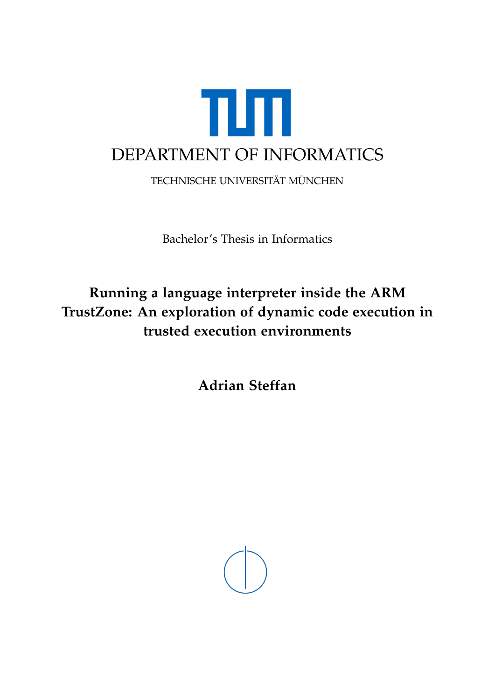

TECHNISCHE UNIVERSITÄT MÜNCHEN

Bachelor's Thesis in Informatics

## **Running a language interpreter inside the ARM TrustZone: An exploration of dynamic code execution in trusted execution environments**

**Adrian Steffan**

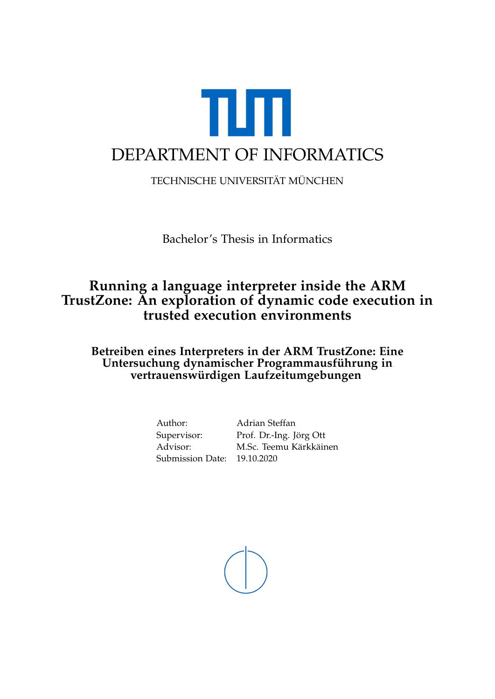

TECHNISCHE UNIVERSITÄT MÜNCHEN

Bachelor's Thesis in Informatics

## **Running a language interpreter inside the ARM TrustZone: An exploration of dynamic code execution in trusted execution environments**

**Betreiben eines Interpreters in der ARM TrustZone: Eine Untersuchung dynamischer Programmausführung in vertrauenswürdigen Laufzeitumgebungen**

> Author: Adrian Steffan Submission Date: 19.10.2020

Supervisor: Prof. Dr.-Ing. Jörg Ott Advisor: M.Sc. Teemu Kärkkäinen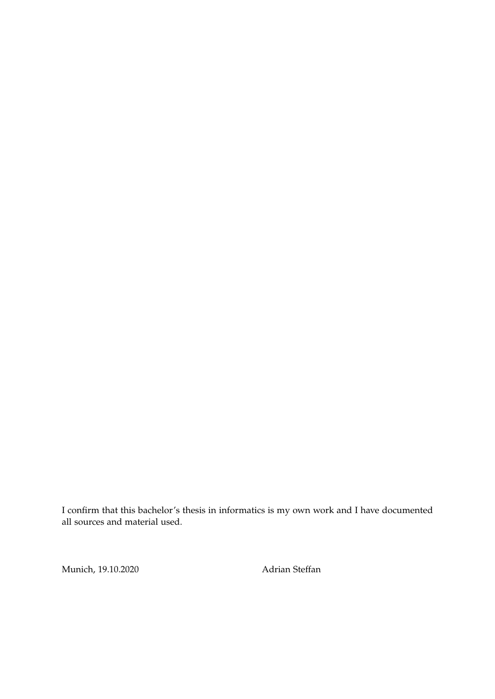I confirm that this bachelor's thesis in informatics is my own work and I have documented all sources and material used.

Munich, 19.10.2020 Adrian Steffan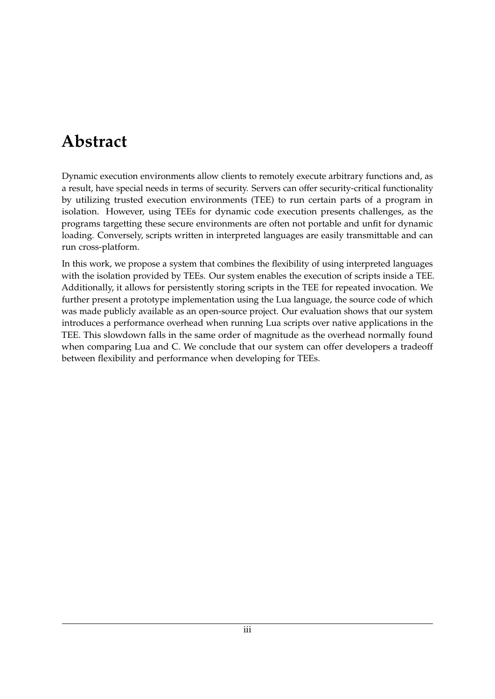## <span id="page-3-0"></span>**Abstract**

Dynamic execution environments allow clients to remotely execute arbitrary functions and, as a result, have special needs in terms of security. Servers can offer security-critical functionality by utilizing trusted execution environments (TEE) to run certain parts of a program in isolation. However, using TEEs for dynamic code execution presents challenges, as the programs targetting these secure environments are often not portable and unfit for dynamic loading. Conversely, scripts written in interpreted languages are easily transmittable and can run cross-platform.

In this work, we propose a system that combines the flexibility of using interpreted languages with the isolation provided by TEEs. Our system enables the execution of scripts inside a TEE. Additionally, it allows for persistently storing scripts in the TEE for repeated invocation. We further present a prototype implementation using the Lua language, the source code of which was made publicly available as an open-source project. Our evaluation shows that our system introduces a performance overhead when running Lua scripts over native applications in the TEE. This slowdown falls in the same order of magnitude as the overhead normally found when comparing Lua and C. We conclude that our system can offer developers a tradeoff between flexibility and performance when developing for TEEs.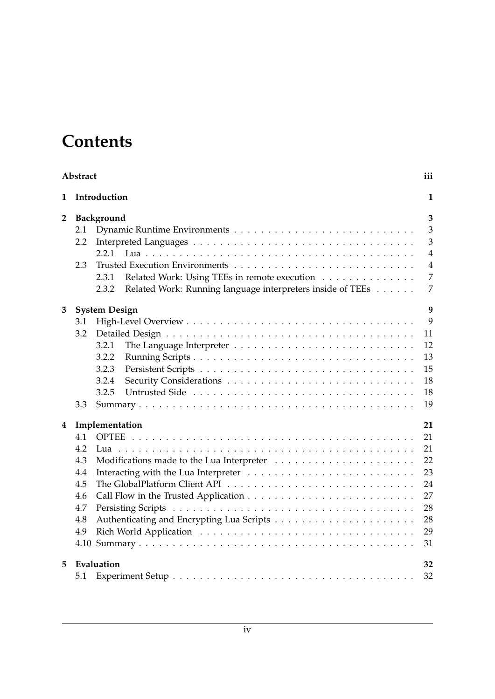## **Contents**

|                | Abstract                                                            |                                                                                                                                                     | iii                                                                                                       |  |  |  |  |  |  |
|----------------|---------------------------------------------------------------------|-----------------------------------------------------------------------------------------------------------------------------------------------------|-----------------------------------------------------------------------------------------------------------|--|--|--|--|--|--|
| 1              |                                                                     | Introduction                                                                                                                                        |                                                                                                           |  |  |  |  |  |  |
| $\overline{2}$ | 2.1<br>2.2<br>2.3                                                   | Background<br>2.2.1<br>Related Work: Using TEEs in remote execution<br>2.3.1<br>2.3.2<br>Related Work: Running language interpreters inside of TEEs | $\overline{\mathbf{3}}$<br>$\mathfrak{Z}$<br>3<br>$\overline{4}$<br>$\overline{4}$<br>7<br>$\overline{7}$ |  |  |  |  |  |  |
| 3              |                                                                     | <b>System Design</b>                                                                                                                                | 9                                                                                                         |  |  |  |  |  |  |
|                | 3.1<br>3.2<br>3.3                                                   | 3.2.1<br>3.2.2<br>3.2.3<br>3.2.4<br>3.2.5                                                                                                           | 9<br>11<br>12<br>13<br>15<br>18<br>18<br>19                                                               |  |  |  |  |  |  |
| 4              |                                                                     | Implementation                                                                                                                                      |                                                                                                           |  |  |  |  |  |  |
|                | 4.1<br>4.2<br>4.3<br>4.4<br>4.5<br>4.6<br>4.7<br>4.8<br>4.9<br>4.10 |                                                                                                                                                     | 21<br>21<br>22<br>23<br>24<br>27<br>28<br>28<br>29<br>31                                                  |  |  |  |  |  |  |
| 5.             | Evaluation                                                          |                                                                                                                                                     |                                                                                                           |  |  |  |  |  |  |
|                | 5.1                                                                 |                                                                                                                                                     | 32                                                                                                        |  |  |  |  |  |  |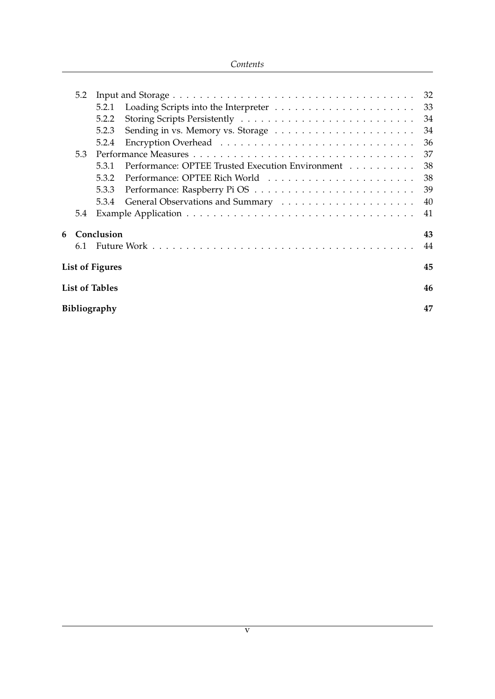#### *Contents*

|   | 5.2                |                        |                                                  | 32 |
|---|--------------------|------------------------|--------------------------------------------------|----|
|   |                    | 5.2.1                  |                                                  | 33 |
|   |                    | 5.2.2                  |                                                  | 34 |
|   |                    | 5.2.3                  |                                                  | 34 |
|   |                    | 5.2.4                  |                                                  | 36 |
|   | 5.3                |                        |                                                  | 37 |
|   |                    | 5.3.1                  | Performance: OPTEE Trusted Execution Environment | 38 |
|   |                    | 5.3.2                  |                                                  | 38 |
|   |                    | 5.3.3                  |                                                  | 39 |
|   |                    | 5.3.4                  |                                                  | 40 |
|   | 5.4                |                        |                                                  | 41 |
| 6 |                    | Conclusion             |                                                  | 43 |
|   | 6.1                |                        |                                                  | 44 |
|   |                    | <b>List of Figures</b> |                                                  | 45 |
|   |                    | <b>List of Tables</b>  |                                                  | 46 |
|   | Bibliography<br>47 |                        |                                                  |    |
|   |                    |                        |                                                  |    |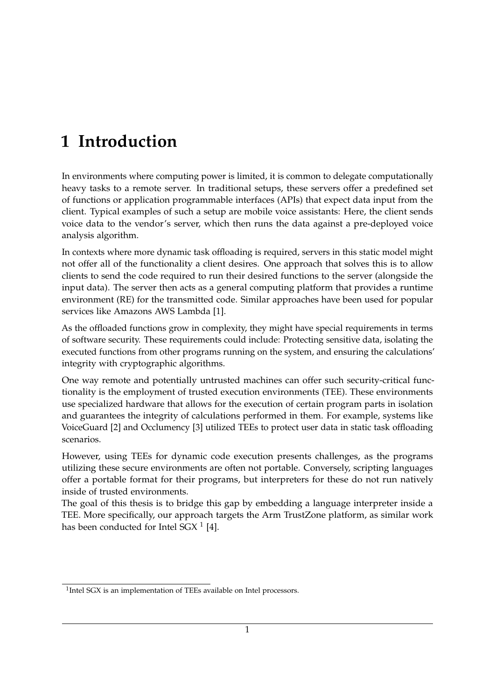## <span id="page-6-0"></span>**1 Introduction**

In environments where computing power is limited, it is common to delegate computationally heavy tasks to a remote server. In traditional setups, these servers offer a predefined set of functions or application programmable interfaces (APIs) that expect data input from the client. Typical examples of such a setup are mobile voice assistants: Here, the client sends voice data to the vendor's server, which then runs the data against a pre-deployed voice analysis algorithm.

In contexts where more dynamic task offloading is required, servers in this static model might not offer all of the functionality a client desires. One approach that solves this is to allow clients to send the code required to run their desired functions to the server (alongside the input data). The server then acts as a general computing platform that provides a runtime environment (RE) for the transmitted code. Similar approaches have been used for popular services like Amazons AWS Lambda [\[1\]](#page-52-1).

As the offloaded functions grow in complexity, they might have special requirements in terms of software security. These requirements could include: Protecting sensitive data, isolating the executed functions from other programs running on the system, and ensuring the calculations' integrity with cryptographic algorithms.

One way remote and potentially untrusted machines can offer such security-critical functionality is the employment of trusted execution environments (TEE). These environments use specialized hardware that allows for the execution of certain program parts in isolation and guarantees the integrity of calculations performed in them. For example, systems like VoiceGuard [\[2\]](#page-52-2) and Occlumency [\[3\]](#page-52-3) utilized TEEs to protect user data in static task offloading scenarios.

However, using TEEs for dynamic code execution presents challenges, as the programs utilizing these secure environments are often not portable. Conversely, scripting languages offer a portable format for their programs, but interpreters for these do not run natively inside of trusted environments.

The goal of this thesis is to bridge this gap by embedding a language interpreter inside a TEE. More specifically, our approach targets the Arm TrustZone platform, as similar work has been conducted for Intel SGX  $^1$  $^1$  [\[4\]](#page-52-4).

<span id="page-6-1"></span><sup>&</sup>lt;sup>1</sup>Intel SGX is an implementation of TEEs available on Intel processors.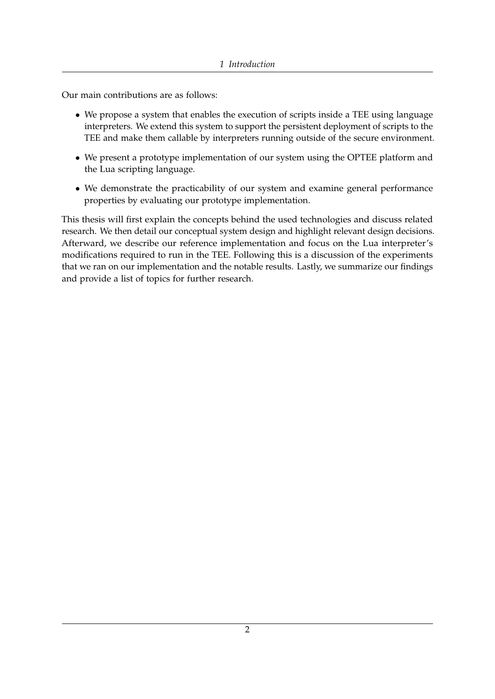Our main contributions are as follows:

- We propose a system that enables the execution of scripts inside a TEE using language interpreters. We extend this system to support the persistent deployment of scripts to the TEE and make them callable by interpreters running outside of the secure environment.
- We present a prototype implementation of our system using the OPTEE platform and the Lua scripting language.
- We demonstrate the practicability of our system and examine general performance properties by evaluating our prototype implementation.

This thesis will first explain the concepts behind the used technologies and discuss related research. We then detail our conceptual system design and highlight relevant design decisions. Afterward, we describe our reference implementation and focus on the Lua interpreter's modifications required to run in the TEE. Following this is a discussion of the experiments that we ran on our implementation and the notable results. Lastly, we summarize our findings and provide a list of topics for further research.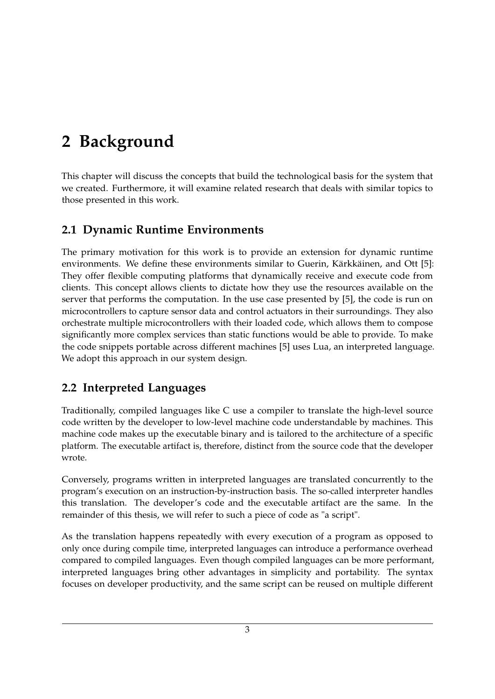## <span id="page-8-0"></span>**2 Background**

This chapter will discuss the concepts that build the technological basis for the system that we created. Furthermore, it will examine related research that deals with similar topics to those presented in this work.

## <span id="page-8-1"></span>**2.1 Dynamic Runtime Environments**

The primary motivation for this work is to provide an extension for dynamic runtime environments. We define these environments similar to Guerin, Kärkkäinen, and Ott [\[5\]](#page-52-5): They offer flexible computing platforms that dynamically receive and execute code from clients. This concept allows clients to dictate how they use the resources available on the server that performs the computation. In the use case presented by [\[5\]](#page-52-5), the code is run on microcontrollers to capture sensor data and control actuators in their surroundings. They also orchestrate multiple microcontrollers with their loaded code, which allows them to compose significantly more complex services than static functions would be able to provide. To make the code snippets portable across different machines [\[5\]](#page-52-5) uses Lua, an interpreted language. We adopt this approach in our system design.

## <span id="page-8-2"></span>**2.2 Interpreted Languages**

Traditionally, compiled languages like C use a compiler to translate the high-level source code written by the developer to low-level machine code understandable by machines. This machine code makes up the executable binary and is tailored to the architecture of a specific platform. The executable artifact is, therefore, distinct from the source code that the developer wrote.

Conversely, programs written in interpreted languages are translated concurrently to the program's execution on an instruction-by-instruction basis. The so-called interpreter handles this translation. The developer's code and the executable artifact are the same. In the remainder of this thesis, we will refer to such a piece of code as "a script".

As the translation happens repeatedly with every execution of a program as opposed to only once during compile time, interpreted languages can introduce a performance overhead compared to compiled languages. Even though compiled languages can be more performant, interpreted languages bring other advantages in simplicity and portability. The syntax focuses on developer productivity, and the same script can be reused on multiple different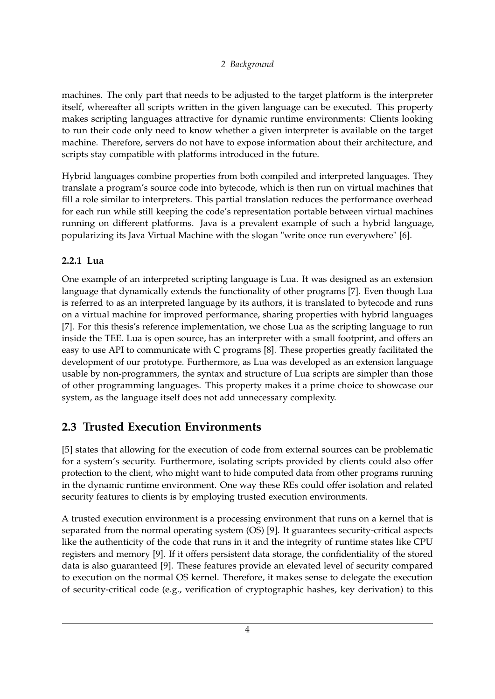machines. The only part that needs to be adjusted to the target platform is the interpreter itself, whereafter all scripts written in the given language can be executed. This property makes scripting languages attractive for dynamic runtime environments: Clients looking to run their code only need to know whether a given interpreter is available on the target machine. Therefore, servers do not have to expose information about their architecture, and scripts stay compatible with platforms introduced in the future.

Hybrid languages combine properties from both compiled and interpreted languages. They translate a program's source code into bytecode, which is then run on virtual machines that fill a role similar to interpreters. This partial translation reduces the performance overhead for each run while still keeping the code's representation portable between virtual machines running on different platforms. Java is a prevalent example of such a hybrid language, popularizing its Java Virtual Machine with the slogan "write once run everywhere" [\[6\]](#page-52-6).

#### <span id="page-9-0"></span>**2.2.1 Lua**

One example of an interpreted scripting language is Lua. It was designed as an extension language that dynamically extends the functionality of other programs [\[7\]](#page-52-7). Even though Lua is referred to as an interpreted language by its authors, it is translated to bytecode and runs on a virtual machine for improved performance, sharing properties with hybrid languages [\[7\]](#page-52-7). For this thesis's reference implementation, we chose Lua as the scripting language to run inside the TEE. Lua is open source, has an interpreter with a small footprint, and offers an easy to use API to communicate with C programs [\[8\]](#page-52-8). These properties greatly facilitated the development of our prototype. Furthermore, as Lua was developed as an extension language usable by non-programmers, the syntax and structure of Lua scripts are simpler than those of other programming languages. This property makes it a prime choice to showcase our system, as the language itself does not add unnecessary complexity.

### <span id="page-9-1"></span>**2.3 Trusted Execution Environments**

[\[5\]](#page-52-5) states that allowing for the execution of code from external sources can be problematic for a system's security. Furthermore, isolating scripts provided by clients could also offer protection to the client, who might want to hide computed data from other programs running in the dynamic runtime environment. One way these REs could offer isolation and related security features to clients is by employing trusted execution environments.

A trusted execution environment is a processing environment that runs on a kernel that is separated from the normal operating system (OS) [\[9\]](#page-52-9). It guarantees security-critical aspects like the authenticity of the code that runs in it and the integrity of runtime states like CPU registers and memory [\[9\]](#page-52-9). If it offers persistent data storage, the confidentiality of the stored data is also guaranteed [\[9\]](#page-52-9). These features provide an elevated level of security compared to execution on the normal OS kernel. Therefore, it makes sense to delegate the execution of security-critical code (e.g., verification of cryptographic hashes, key derivation) to this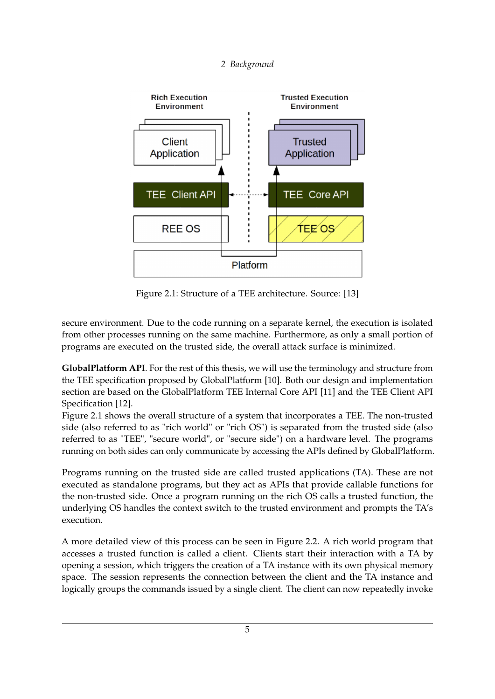<span id="page-10-0"></span>

Figure 2.1: Structure of a TEE architecture. Source: [\[13\]](#page-53-0)

secure environment. Due to the code running on a separate kernel, the execution is isolated from other processes running on the same machine. Furthermore, as only a small portion of programs are executed on the trusted side, the overall attack surface is minimized.

**GlobalPlatform API**. For the rest of this thesis, we will use the terminology and structure from the TEE specification proposed by GlobalPlatform [\[10\]](#page-52-10). Both our design and implementation section are based on the GlobalPlatform TEE Internal Core API [\[11\]](#page-52-11) and the TEE Client API Specification [\[12\]](#page-53-1).

Figure [2.1](#page-10-0) shows the overall structure of a system that incorporates a TEE. The non-trusted side (also referred to as "rich world" or "rich OS") is separated from the trusted side (also referred to as "TEE", "secure world", or "secure side") on a hardware level. The programs running on both sides can only communicate by accessing the APIs defined by GlobalPlatform.

Programs running on the trusted side are called trusted applications (TA). These are not executed as standalone programs, but they act as APIs that provide callable functions for the non-trusted side. Once a program running on the rich OS calls a trusted function, the underlying OS handles the context switch to the trusted environment and prompts the TA's execution.

A more detailed view of this process can be seen in Figure [2.2.](#page-11-0) A rich world program that accesses a trusted function is called a client. Clients start their interaction with a TA by opening a session, which triggers the creation of a TA instance with its own physical memory space. The session represents the connection between the client and the TA instance and logically groups the commands issued by a single client. The client can now repeatedly invoke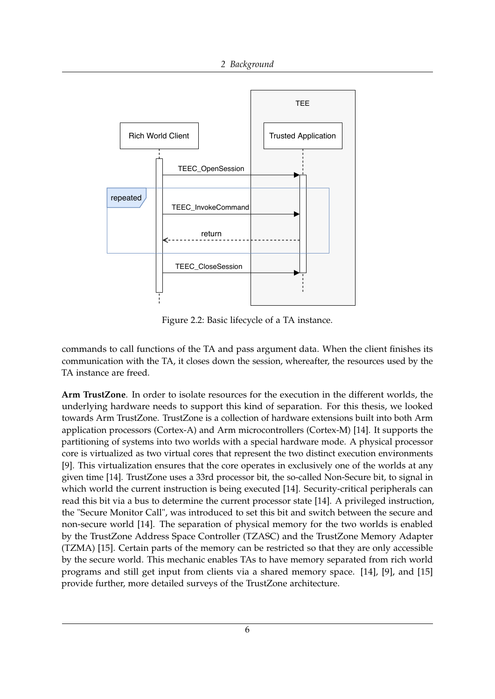<span id="page-11-0"></span>

Figure 2.2: Basic lifecycle of a TA instance.

commands to call functions of the TA and pass argument data. When the client finishes its communication with the TA, it closes down the session, whereafter, the resources used by the TA instance are freed.

**Arm TrustZone**. In order to isolate resources for the execution in the different worlds, the underlying hardware needs to support this kind of separation. For this thesis, we looked towards Arm TrustZone. TrustZone is a collection of hardware extensions built into both Arm application processors (Cortex-A) and Arm microcontrollers (Cortex-M) [\[14\]](#page-53-2). It supports the partitioning of systems into two worlds with a special hardware mode. A physical processor core is virtualized as two virtual cores that represent the two distinct execution environments [\[9\]](#page-52-9). This virtualization ensures that the core operates in exclusively one of the worlds at any given time [\[14\]](#page-53-2). TrustZone uses a 33rd processor bit, the so-called Non-Secure bit, to signal in which world the current instruction is being executed [\[14\]](#page-53-2). Security-critical peripherals can read this bit via a bus to determine the current processor state [\[14\]](#page-53-2). A privileged instruction, the "Secure Monitor Call", was introduced to set this bit and switch between the secure and non-secure world [\[14\]](#page-53-2). The separation of physical memory for the two worlds is enabled by the TrustZone Address Space Controller (TZASC) and the TrustZone Memory Adapter (TZMA) [\[15\]](#page-53-3). Certain parts of the memory can be restricted so that they are only accessible by the secure world. This mechanic enables TAs to have memory separated from rich world programs and still get input from clients via a shared memory space. [\[14\]](#page-53-2), [\[9\]](#page-52-9), and [\[15\]](#page-53-3) provide further, more detailed surveys of the TrustZone architecture.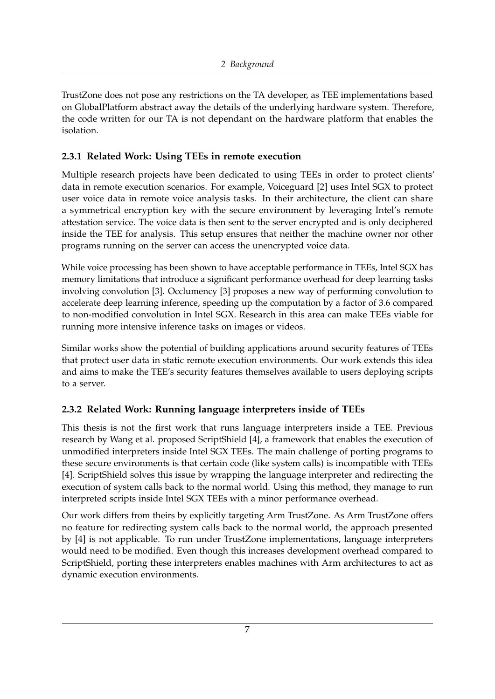TrustZone does not pose any restrictions on the TA developer, as TEE implementations based on GlobalPlatform abstract away the details of the underlying hardware system. Therefore, the code written for our TA is not dependant on the hardware platform that enables the isolation.

#### <span id="page-12-0"></span>**2.3.1 Related Work: Using TEEs in remote execution**

Multiple research projects have been dedicated to using TEEs in order to protect clients' data in remote execution scenarios. For example, Voiceguard [\[2\]](#page-52-2) uses Intel SGX to protect user voice data in remote voice analysis tasks. In their architecture, the client can share a symmetrical encryption key with the secure environment by leveraging Intel's remote attestation service. The voice data is then sent to the server encrypted and is only deciphered inside the TEE for analysis. This setup ensures that neither the machine owner nor other programs running on the server can access the unencrypted voice data.

While voice processing has been shown to have acceptable performance in TEEs, Intel SGX has memory limitations that introduce a significant performance overhead for deep learning tasks involving convolution [\[3\]](#page-52-3). Occlumency [\[3\]](#page-52-3) proposes a new way of performing convolution to accelerate deep learning inference, speeding up the computation by a factor of 3.6 compared to non-modified convolution in Intel SGX. Research in this area can make TEEs viable for running more intensive inference tasks on images or videos.

Similar works show the potential of building applications around security features of TEEs that protect user data in static remote execution environments. Our work extends this idea and aims to make the TEE's security features themselves available to users deploying scripts to a server.

#### <span id="page-12-1"></span>**2.3.2 Related Work: Running language interpreters inside of TEEs**

This thesis is not the first work that runs language interpreters inside a TEE. Previous research by Wang et al. proposed ScriptShield [\[4\]](#page-52-4), a framework that enables the execution of unmodified interpreters inside Intel SGX TEEs. The main challenge of porting programs to these secure environments is that certain code (like system calls) is incompatible with TEEs [\[4\]](#page-52-4). ScriptShield solves this issue by wrapping the language interpreter and redirecting the execution of system calls back to the normal world. Using this method, they manage to run interpreted scripts inside Intel SGX TEEs with a minor performance overhead.

Our work differs from theirs by explicitly targeting Arm TrustZone. As Arm TrustZone offers no feature for redirecting system calls back to the normal world, the approach presented by [\[4\]](#page-52-4) is not applicable. To run under TrustZone implementations, language interpreters would need to be modified. Even though this increases development overhead compared to ScriptShield, porting these interpreters enables machines with Arm architectures to act as dynamic execution environments.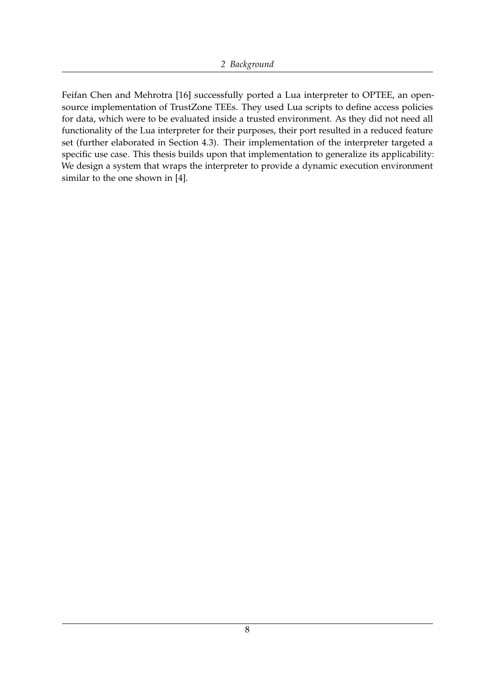Feifan Chen and Mehrotra [\[16\]](#page-53-4) successfully ported a Lua interpreter to OPTEE, an opensource implementation of TrustZone TEEs. They used Lua scripts to define access policies for data, which were to be evaluated inside a trusted environment. As they did not need all functionality of the Lua interpreter for their purposes, their port resulted in a reduced feature set (further elaborated in Section [4.3\)](#page-27-0). Their implementation of the interpreter targeted a specific use case. This thesis builds upon that implementation to generalize its applicability: We design a system that wraps the interpreter to provide a dynamic execution environment similar to the one shown in [\[4\]](#page-52-4).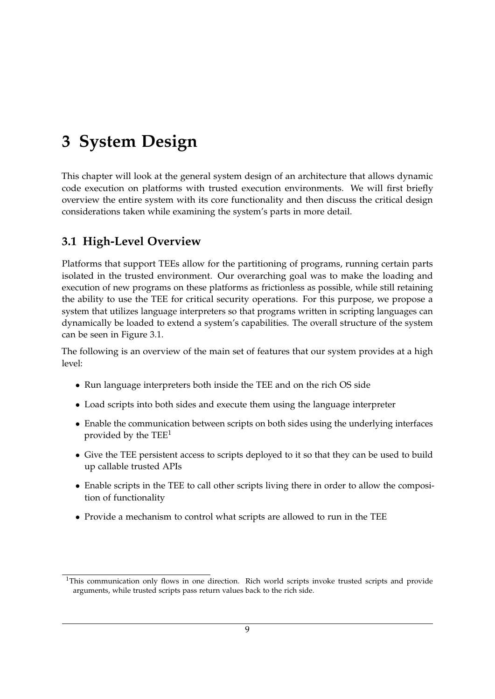## <span id="page-14-0"></span>**3 System Design**

This chapter will look at the general system design of an architecture that allows dynamic code execution on platforms with trusted execution environments. We will first briefly overview the entire system with its core functionality and then discuss the critical design considerations taken while examining the system's parts in more detail.

### <span id="page-14-1"></span>**3.1 High-Level Overview**

Platforms that support TEEs allow for the partitioning of programs, running certain parts isolated in the trusted environment. Our overarching goal was to make the loading and execution of new programs on these platforms as frictionless as possible, while still retaining the ability to use the TEE for critical security operations. For this purpose, we propose a system that utilizes language interpreters so that programs written in scripting languages can dynamically be loaded to extend a system's capabilities. The overall structure of the system can be seen in Figure [3.1.](#page-15-0)

The following is an overview of the main set of features that our system provides at a high level:

- Run language interpreters both inside the TEE and on the rich OS side
- Load scripts into both sides and execute them using the language interpreter
- Enable the communication between scripts on both sides using the underlying interfaces provided by the  $TEE<sup>1</sup>$  $TEE<sup>1</sup>$  $TEE<sup>1</sup>$
- Give the TEE persistent access to scripts deployed to it so that they can be used to build up callable trusted APIs
- Enable scripts in the TEE to call other scripts living there in order to allow the composition of functionality
- Provide a mechanism to control what scripts are allowed to run in the TEE

<span id="page-14-2"></span><sup>&</sup>lt;sup>1</sup>This communication only flows in one direction. Rich world scripts invoke trusted scripts and provide arguments, while trusted scripts pass return values back to the rich side.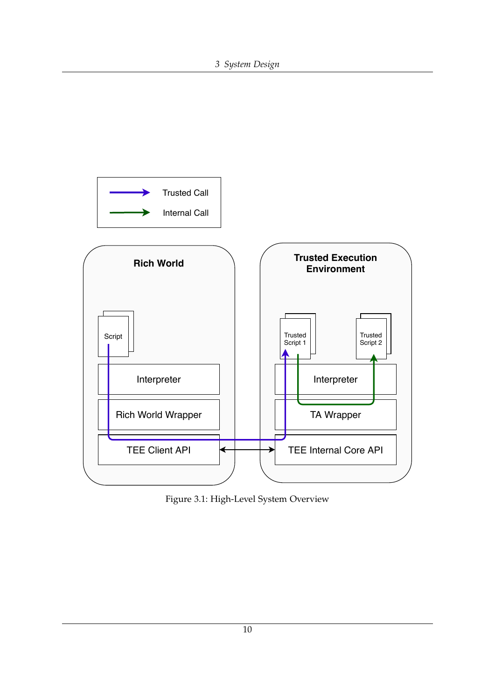<span id="page-15-0"></span>

Figure 3.1: High-Level System Overview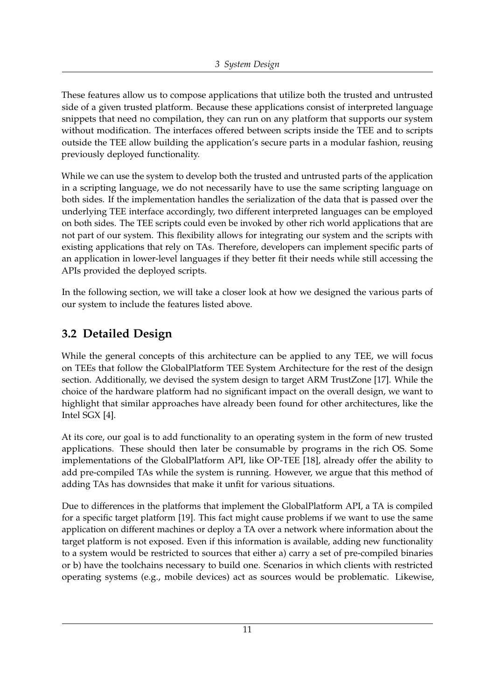These features allow us to compose applications that utilize both the trusted and untrusted side of a given trusted platform. Because these applications consist of interpreted language snippets that need no compilation, they can run on any platform that supports our system without modification. The interfaces offered between scripts inside the TEE and to scripts outside the TEE allow building the application's secure parts in a modular fashion, reusing previously deployed functionality.

While we can use the system to develop both the trusted and untrusted parts of the application in a scripting language, we do not necessarily have to use the same scripting language on both sides. If the implementation handles the serialization of the data that is passed over the underlying TEE interface accordingly, two different interpreted languages can be employed on both sides. The TEE scripts could even be invoked by other rich world applications that are not part of our system. This flexibility allows for integrating our system and the scripts with existing applications that rely on TAs. Therefore, developers can implement specific parts of an application in lower-level languages if they better fit their needs while still accessing the APIs provided the deployed scripts.

In the following section, we will take a closer look at how we designed the various parts of our system to include the features listed above.

### <span id="page-16-0"></span>**3.2 Detailed Design**

While the general concepts of this architecture can be applied to any TEE, we will focus on TEEs that follow the GlobalPlatform TEE System Architecture for the rest of the design section. Additionally, we devised the system design to target ARM TrustZone [\[17\]](#page-53-5). While the choice of the hardware platform had no significant impact on the overall design, we want to highlight that similar approaches have already been found for other architectures, like the Intel SGX [\[4\]](#page-52-4).

At its core, our goal is to add functionality to an operating system in the form of new trusted applications. These should then later be consumable by programs in the rich OS. Some implementations of the GlobalPlatform API, like OP-TEE [\[18\]](#page-53-6), already offer the ability to add pre-compiled TAs while the system is running. However, we argue that this method of adding TAs has downsides that make it unfit for various situations.

Due to differences in the platforms that implement the GlobalPlatform API, a TA is compiled for a specific target platform [\[19\]](#page-53-7). This fact might cause problems if we want to use the same application on different machines or deploy a TA over a network where information about the target platform is not exposed. Even if this information is available, adding new functionality to a system would be restricted to sources that either a) carry a set of pre-compiled binaries or b) have the toolchains necessary to build one. Scenarios in which clients with restricted operating systems (e.g., mobile devices) act as sources would be problematic. Likewise,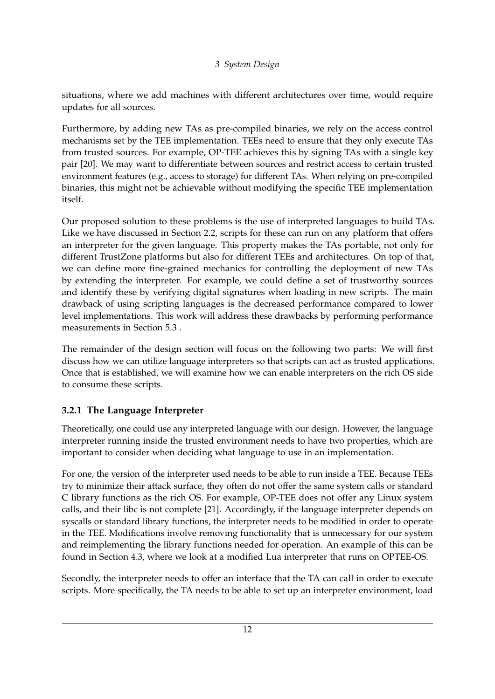situations, where we add machines with different architectures over time, would require updates for all sources.

Furthermore, by adding new TAs as pre-compiled binaries, we rely on the access control mechanisms set by the TEE implementation. TEEs need to ensure that they only execute TAs from trusted sources. For example, OP-TEE achieves this by signing TAs with a single key pair [\[20\]](#page-53-8). We may want to differentiate between sources and restrict access to certain trusted environment features (e.g., access to storage) for different TAs. When relying on pre-compiled binaries, this might not be achievable without modifying the specific TEE implementation itself.

Our proposed solution to these problems is the use of interpreted languages to build TAs. Like we have discussed in Section [2.2,](#page-8-2) scripts for these can run on any platform that offers an interpreter for the given language. This property makes the TAs portable, not only for different TrustZone platforms but also for different TEEs and architectures. On top of that, we can define more fine-grained mechanics for controlling the deployment of new TAs by extending the interpreter. For example, we could define a set of trustworthy sources and identify these by verifying digital signatures when loading in new scripts. The main drawback of using scripting languages is the decreased performance compared to lower level implementations. This work will address these drawbacks by performing performance measurements in Section [5.3](#page-42-0) .

The remainder of the design section will focus on the following two parts: We will first discuss how we can utilize language interpreters so that scripts can act as trusted applications. Once that is established, we will examine how we can enable interpreters on the rich OS side to consume these scripts.

#### <span id="page-17-0"></span>**3.2.1 The Language Interpreter**

Theoretically, one could use any interpreted language with our design. However, the language interpreter running inside the trusted environment needs to have two properties, which are important to consider when deciding what language to use in an implementation.

For one, the version of the interpreter used needs to be able to run inside a TEE. Because TEEs try to minimize their attack surface, they often do not offer the same system calls or standard C library functions as the rich OS. For example, OP-TEE does not offer any Linux system calls, and their libc is not complete [\[21\]](#page-53-9). Accordingly, if the language interpreter depends on syscalls or standard library functions, the interpreter needs to be modified in order to operate in the TEE. Modifications involve removing functionality that is unnecessary for our system and reimplementing the library functions needed for operation. An example of this can be found in Section [4.3,](#page-27-0) where we look at a modified Lua interpreter that runs on OPTEE-OS.

Secondly, the interpreter needs to offer an interface that the TA can call in order to execute scripts. More specifically, the TA needs to be able to set up an interpreter environment, load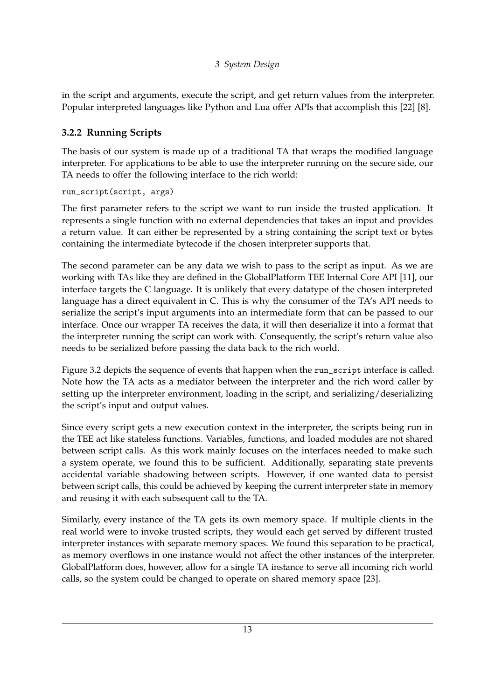in the script and arguments, execute the script, and get return values from the interpreter. Popular interpreted languages like Python and Lua offer APIs that accomplish this [\[22\]](#page-53-10) [\[8\]](#page-52-8).

#### <span id="page-18-0"></span>**3.2.2 Running Scripts**

The basis of our system is made up of a traditional TA that wraps the modified language interpreter. For applications to be able to use the interpreter running on the secure side, our TA needs to offer the following interface to the rich world:

```
run_script(script, args)
```
The first parameter refers to the script we want to run inside the trusted application. It represents a single function with no external dependencies that takes an input and provides a return value. It can either be represented by a string containing the script text or bytes containing the intermediate bytecode if the chosen interpreter supports that.

The second parameter can be any data we wish to pass to the script as input. As we are working with TAs like they are defined in the GlobalPlatform TEE Internal Core API [\[11\]](#page-52-11), our interface targets the C language. It is unlikely that every datatype of the chosen interpreted language has a direct equivalent in C. This is why the consumer of the TA's API needs to serialize the script's input arguments into an intermediate form that can be passed to our interface. Once our wrapper TA receives the data, it will then deserialize it into a format that the interpreter running the script can work with. Consequently, the script's return value also needs to be serialized before passing the data back to the rich world.

Figure [3.2](#page-19-0) depicts the sequence of events that happen when the run\_script interface is called. Note how the TA acts as a mediator between the interpreter and the rich word caller by setting up the interpreter environment, loading in the script, and serializing/deserializing the script's input and output values.

Since every script gets a new execution context in the interpreter, the scripts being run in the TEE act like stateless functions. Variables, functions, and loaded modules are not shared between script calls. As this work mainly focuses on the interfaces needed to make such a system operate, we found this to be sufficient. Additionally, separating state prevents accidental variable shadowing between scripts. However, if one wanted data to persist between script calls, this could be achieved by keeping the current interpreter state in memory and reusing it with each subsequent call to the TA.

Similarly, every instance of the TA gets its own memory space. If multiple clients in the real world were to invoke trusted scripts, they would each get served by different trusted interpreter instances with separate memory spaces. We found this separation to be practical, as memory overflows in one instance would not affect the other instances of the interpreter. GlobalPlatform does, however, allow for a single TA instance to serve all incoming rich world calls, so the system could be changed to operate on shared memory space [\[23\]](#page-53-11).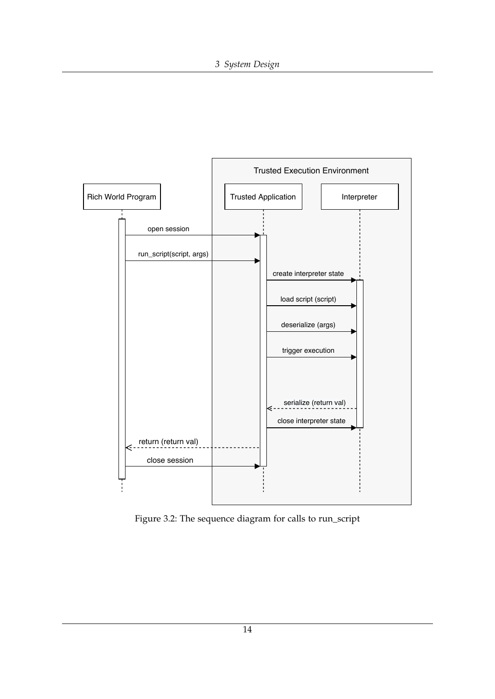<span id="page-19-0"></span>

Figure 3.2: The sequence diagram for calls to run\_script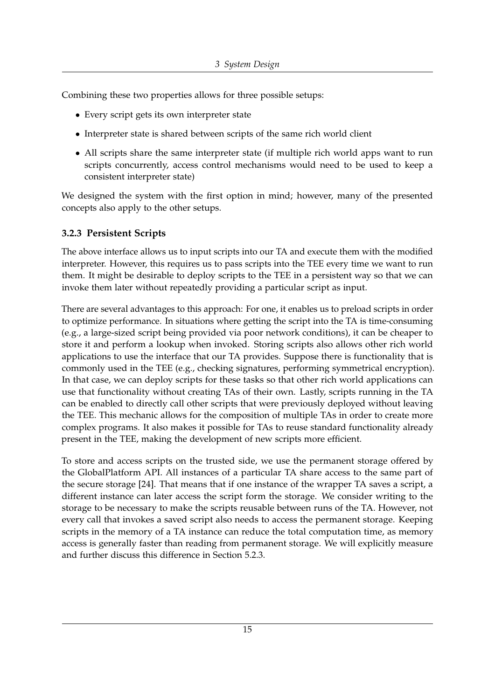Combining these two properties allows for three possible setups:

- Every script gets its own interpreter state
- Interpreter state is shared between scripts of the same rich world client
- All scripts share the same interpreter state (if multiple rich world apps want to run scripts concurrently, access control mechanisms would need to be used to keep a consistent interpreter state)

We designed the system with the first option in mind; however, many of the presented concepts also apply to the other setups.

#### <span id="page-20-0"></span>**3.2.3 Persistent Scripts**

The above interface allows us to input scripts into our TA and execute them with the modified interpreter. However, this requires us to pass scripts into the TEE every time we want to run them. It might be desirable to deploy scripts to the TEE in a persistent way so that we can invoke them later without repeatedly providing a particular script as input.

There are several advantages to this approach: For one, it enables us to preload scripts in order to optimize performance. In situations where getting the script into the TA is time-consuming (e.g., a large-sized script being provided via poor network conditions), it can be cheaper to store it and perform a lookup when invoked. Storing scripts also allows other rich world applications to use the interface that our TA provides. Suppose there is functionality that is commonly used in the TEE (e.g., checking signatures, performing symmetrical encryption). In that case, we can deploy scripts for these tasks so that other rich world applications can use that functionality without creating TAs of their own. Lastly, scripts running in the TA can be enabled to directly call other scripts that were previously deployed without leaving the TEE. This mechanic allows for the composition of multiple TAs in order to create more complex programs. It also makes it possible for TAs to reuse standard functionality already present in the TEE, making the development of new scripts more efficient.

To store and access scripts on the trusted side, we use the permanent storage offered by the GlobalPlatform API. All instances of a particular TA share access to the same part of the secure storage [\[24\]](#page-53-12). That means that if one instance of the wrapper TA saves a script, a different instance can later access the script form the storage. We consider writing to the storage to be necessary to make the scripts reusable between runs of the TA. However, not every call that invokes a saved script also needs to access the permanent storage. Keeping scripts in the memory of a TA instance can reduce the total computation time, as memory access is generally faster than reading from permanent storage. We will explicitly measure and further discuss this difference in Section [5.2.3.](#page-39-1)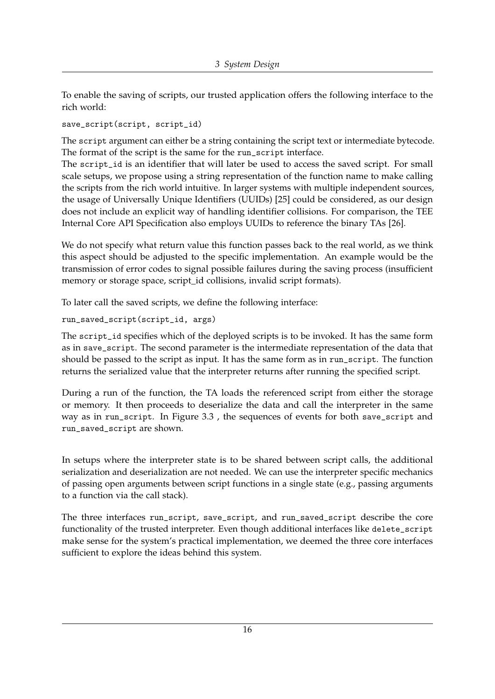To enable the saving of scripts, our trusted application offers the following interface to the rich world:

save\_script(script, script\_id)

The script argument can either be a string containing the script text or intermediate bytecode. The format of the script is the same for the run\_script interface.

The script\_id is an identifier that will later be used to access the saved script. For small scale setups, we propose using a string representation of the function name to make calling the scripts from the rich world intuitive. In larger systems with multiple independent sources, the usage of Universally Unique Identifiers (UUIDs) [\[25\]](#page-53-13) could be considered, as our design does not include an explicit way of handling identifier collisions. For comparison, the TEE Internal Core API Specification also employs UUIDs to reference the binary TAs [\[26\]](#page-54-0).

We do not specify what return value this function passes back to the real world, as we think this aspect should be adjusted to the specific implementation. An example would be the transmission of error codes to signal possible failures during the saving process (insufficient memory or storage space, script id collisions, invalid script formats).

To later call the saved scripts, we define the following interface:

```
run_saved_script(script_id, args)
```
The script\_id specifies which of the deployed scripts is to be invoked. It has the same form as in save\_script. The second parameter is the intermediate representation of the data that should be passed to the script as input. It has the same form as in run\_script. The function returns the serialized value that the interpreter returns after running the specified script.

During a run of the function, the TA loads the referenced script from either the storage or memory. It then proceeds to deserialize the data and call the interpreter in the same way as in run\_script. In Figure [3.3](#page-22-0) , the sequences of events for both save\_script and run\_saved\_script are shown.

In setups where the interpreter state is to be shared between script calls, the additional serialization and deserialization are not needed. We can use the interpreter specific mechanics of passing open arguments between script functions in a single state (e.g., passing arguments to a function via the call stack).

The three interfaces run\_script, save\_script, and run\_saved\_script describe the core functionality of the trusted interpreter. Even though additional interfaces like delete\_script make sense for the system's practical implementation, we deemed the three core interfaces sufficient to explore the ideas behind this system.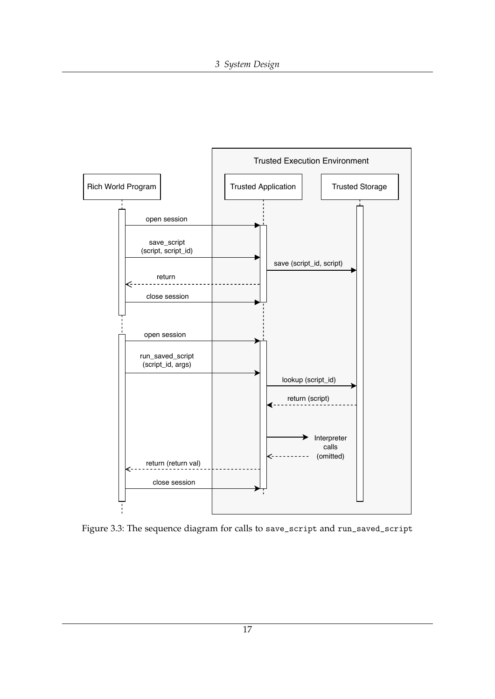<span id="page-22-0"></span>

Figure 3.3: The sequence diagram for calls to save\_script and run\_saved\_script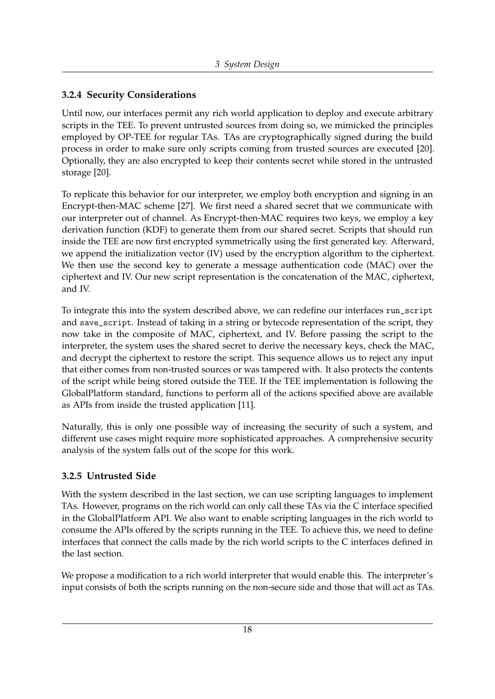#### <span id="page-23-0"></span>**3.2.4 Security Considerations**

Until now, our interfaces permit any rich world application to deploy and execute arbitrary scripts in the TEE. To prevent untrusted sources from doing so, we mimicked the principles employed by OP-TEE for regular TAs. TAs are cryptographically signed during the build process in order to make sure only scripts coming from trusted sources are executed [\[20\]](#page-53-8). Optionally, they are also encrypted to keep their contents secret while stored in the untrusted storage [\[20\]](#page-53-8).

To replicate this behavior for our interpreter, we employ both encryption and signing in an Encrypt-then-MAC scheme [\[27\]](#page-54-1). We first need a shared secret that we communicate with our interpreter out of channel. As Encrypt-then-MAC requires two keys, we employ a key derivation function (KDF) to generate them from our shared secret. Scripts that should run inside the TEE are now first encrypted symmetrically using the first generated key. Afterward, we append the initialization vector (IV) used by the encryption algorithm to the ciphertext. We then use the second key to generate a message authentication code (MAC) over the ciphertext and IV. Our new script representation is the concatenation of the MAC, ciphertext, and IV.

To integrate this into the system described above, we can redefine our interfaces run\_script and save\_script. Instead of taking in a string or bytecode representation of the script, they now take in the composite of MAC, ciphertext, and IV. Before passing the script to the interpreter, the system uses the shared secret to derive the necessary keys, check the MAC, and decrypt the ciphertext to restore the script. This sequence allows us to reject any input that either comes from non-trusted sources or was tampered with. It also protects the contents of the script while being stored outside the TEE. If the TEE implementation is following the GlobalPlatform standard, functions to perform all of the actions specified above are available as APIs from inside the trusted application [\[11\]](#page-52-11).

Naturally, this is only one possible way of increasing the security of such a system, and different use cases might require more sophisticated approaches. A comprehensive security analysis of the system falls out of the scope for this work.

#### <span id="page-23-1"></span>**3.2.5 Untrusted Side**

With the system described in the last section, we can use scripting languages to implement TAs. However, programs on the rich world can only call these TAs via the C interface specified in the GlobalPlatform API. We also want to enable scripting languages in the rich world to consume the APIs offered by the scripts running in the TEE. To achieve this, we need to define interfaces that connect the calls made by the rich world scripts to the C interfaces defined in the last section.

We propose a modification to a rich world interpreter that would enable this. The interpreter's input consists of both the scripts running on the non-secure side and those that will act as TAs.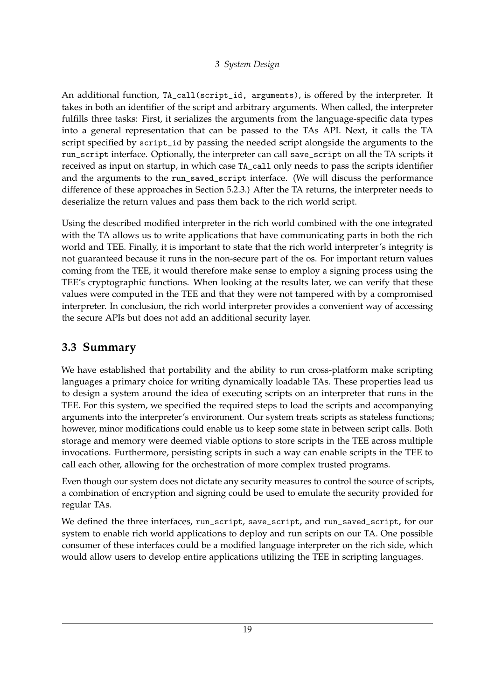An additional function, TA\_call(script\_id, arguments), is offered by the interpreter. It takes in both an identifier of the script and arbitrary arguments. When called, the interpreter fulfills three tasks: First, it serializes the arguments from the language-specific data types into a general representation that can be passed to the TAs API. Next, it calls the TA script specified by script\_id by passing the needed script alongside the arguments to the run\_script interface. Optionally, the interpreter can call save\_script on all the TA scripts it received as input on startup, in which case TA\_call only needs to pass the scripts identifier and the arguments to the run\_saved\_script interface. (We will discuss the performance difference of these approaches in Section [5.2.3.](#page-39-1)) After the TA returns, the interpreter needs to deserialize the return values and pass them back to the rich world script.

Using the described modified interpreter in the rich world combined with the one integrated with the TA allows us to write applications that have communicating parts in both the rich world and TEE. Finally, it is important to state that the rich world interpreter's integrity is not guaranteed because it runs in the non-secure part of the os. For important return values coming from the TEE, it would therefore make sense to employ a signing process using the TEE's cryptographic functions. When looking at the results later, we can verify that these values were computed in the TEE and that they were not tampered with by a compromised interpreter. In conclusion, the rich world interpreter provides a convenient way of accessing the secure APIs but does not add an additional security layer.

#### <span id="page-24-0"></span>**3.3 Summary**

We have established that portability and the ability to run cross-platform make scripting languages a primary choice for writing dynamically loadable TAs. These properties lead us to design a system around the idea of executing scripts on an interpreter that runs in the TEE. For this system, we specified the required steps to load the scripts and accompanying arguments into the interpreter's environment. Our system treats scripts as stateless functions; however, minor modifications could enable us to keep some state in between script calls. Both storage and memory were deemed viable options to store scripts in the TEE across multiple invocations. Furthermore, persisting scripts in such a way can enable scripts in the TEE to call each other, allowing for the orchestration of more complex trusted programs.

Even though our system does not dictate any security measures to control the source of scripts, a combination of encryption and signing could be used to emulate the security provided for regular TAs.

We defined the three interfaces, run\_script, save\_script, and run\_saved\_script, for our system to enable rich world applications to deploy and run scripts on our TA. One possible consumer of these interfaces could be a modified language interpreter on the rich side, which would allow users to develop entire applications utilizing the TEE in scripting languages.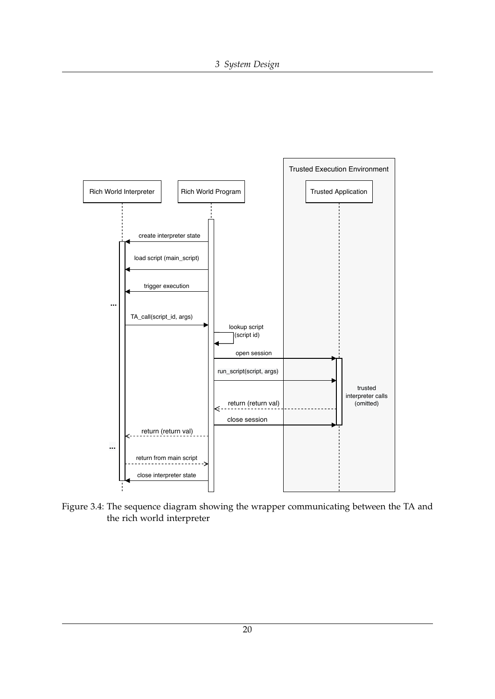<span id="page-25-0"></span>

Figure 3.4: The sequence diagram showing the wrapper communicating between the TA and the rich world interpreter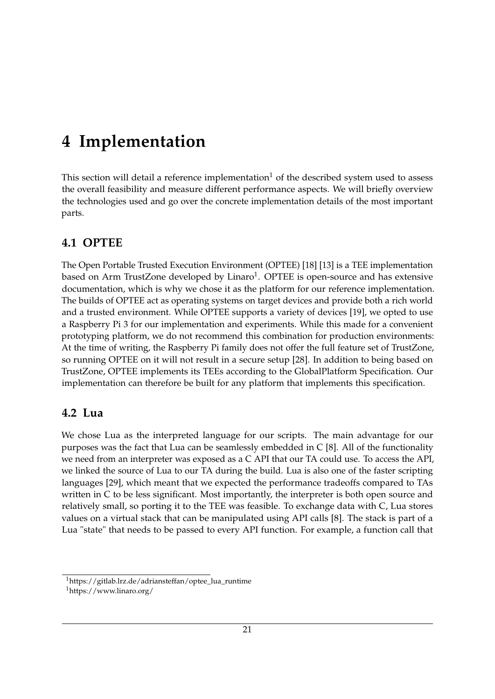## <span id="page-26-0"></span>**4 Implementation**

This section will detail a reference implementation<sup>[1](#page-26-3)</sup> of the described system used to assess the overall feasibility and measure different performance aspects. We will briefly overview the technologies used and go over the concrete implementation details of the most important parts.

### <span id="page-26-1"></span>**4.1 OPTEE**

The Open Portable Trusted Execution Environment (OPTEE) [\[18\]](#page-53-6) [\[13\]](#page-53-0) is a TEE implementation based on Arm TrustZone developed by Linaro<sup>[1](#page-26-4)</sup>. OPTEE is open-source and has extensive documentation, which is why we chose it as the platform for our reference implementation. The builds of OPTEE act as operating systems on target devices and provide both a rich world and a trusted environment. While OPTEE supports a variety of devices [\[19\]](#page-53-7), we opted to use a Raspberry Pi 3 for our implementation and experiments. While this made for a convenient prototyping platform, we do not recommend this combination for production environments: At the time of writing, the Raspberry Pi family does not offer the full feature set of TrustZone, so running OPTEE on it will not result in a secure setup [\[28\]](#page-54-2). In addition to being based on TrustZone, OPTEE implements its TEEs according to the GlobalPlatform Specification. Our implementation can therefore be built for any platform that implements this specification.

### <span id="page-26-2"></span>**4.2 Lua**

We chose Lua as the interpreted language for our scripts. The main advantage for our purposes was the fact that Lua can be seamlessly embedded in C [\[8\]](#page-52-8). All of the functionality we need from an interpreter was exposed as a C API that our TA could use. To access the API, we linked the source of Lua to our TA during the build. Lua is also one of the faster scripting languages [\[29\]](#page-54-3), which meant that we expected the performance tradeoffs compared to TAs written in C to be less significant. Most importantly, the interpreter is both open source and relatively small, so porting it to the TEE was feasible. To exchange data with C, Lua stores values on a virtual stack that can be manipulated using API calls [\[8\]](#page-52-8). The stack is part of a Lua "state" that needs to be passed to every API function. For example, a function call that

<span id="page-26-3"></span><sup>1</sup>https://gitlab.lrz.de/adriansteffan/optee\_lua\_runtime

<span id="page-26-4"></span><sup>1</sup>https://www.linaro.org/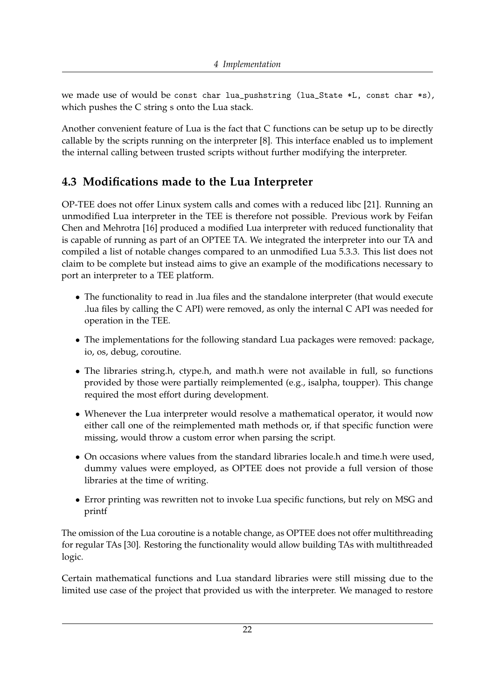we made use of would be const char lua\_pushstring (lua\_State \*L, const char \*s), which pushes the C string s onto the Lua stack.

Another convenient feature of Lua is the fact that C functions can be setup up to be directly callable by the scripts running on the interpreter [\[8\]](#page-52-8). This interface enabled us to implement the internal calling between trusted scripts without further modifying the interpreter.

## <span id="page-27-0"></span>**4.3 Modifications made to the Lua Interpreter**

OP-TEE does not offer Linux system calls and comes with a reduced libc [\[21\]](#page-53-9). Running an unmodified Lua interpreter in the TEE is therefore not possible. Previous work by Feifan Chen and Mehrotra [\[16\]](#page-53-4) produced a modified Lua interpreter with reduced functionality that is capable of running as part of an OPTEE TA. We integrated the interpreter into our TA and compiled a list of notable changes compared to an unmodified Lua 5.3.3. This list does not claim to be complete but instead aims to give an example of the modifications necessary to port an interpreter to a TEE platform.

- The functionality to read in .lua files and the standalone interpreter (that would execute .lua files by calling the C API) were removed, as only the internal C API was needed for operation in the TEE.
- The implementations for the following standard Lua packages were removed: package, io, os, debug, coroutine.
- The libraries string.h, ctype.h, and math.h were not available in full, so functions provided by those were partially reimplemented (e.g., isalpha, toupper). This change required the most effort during development.
- Whenever the Lua interpreter would resolve a mathematical operator, it would now either call one of the reimplemented math methods or, if that specific function were missing, would throw a custom error when parsing the script.
- On occasions where values from the standard libraries locale.h and time.h were used, dummy values were employed, as OPTEE does not provide a full version of those libraries at the time of writing.
- Error printing was rewritten not to invoke Lua specific functions, but rely on MSG and printf

The omission of the Lua coroutine is a notable change, as OPTEE does not offer multithreading for regular TAs [\[30\]](#page-54-4). Restoring the functionality would allow building TAs with multithreaded logic.

Certain mathematical functions and Lua standard libraries were still missing due to the limited use case of the project that provided us with the interpreter. We managed to restore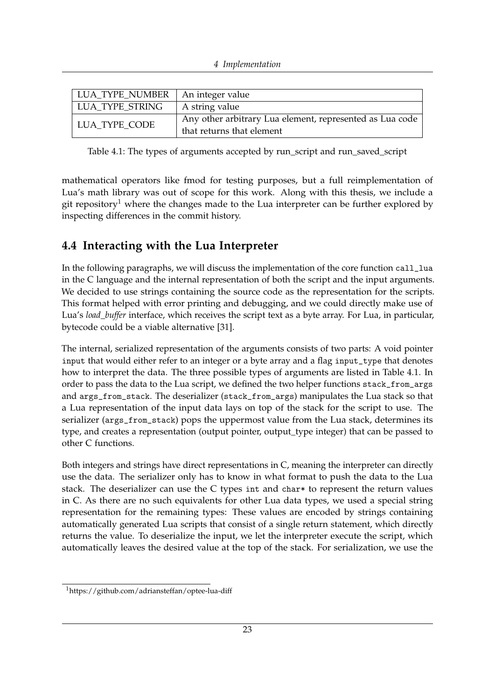<span id="page-28-2"></span>

| LUA TYPE NUMBER | An integer value                                                                      |
|-----------------|---------------------------------------------------------------------------------------|
| LUA TYPE STRING | A string value                                                                        |
| LUA TYPE CODE   | Any other arbitrary Lua element, represented as Lua code<br>that returns that element |

Table 4.1: The types of arguments accepted by run\_script and run\_saved\_script

mathematical operators like fmod for testing purposes, but a full reimplementation of Lua's math library was out of scope for this work. Along with this thesis, we include a git repository<sup>[1](#page-28-1)</sup> where the changes made to the Lua interpreter can be further explored by inspecting differences in the commit history.

## <span id="page-28-0"></span>**4.4 Interacting with the Lua Interpreter**

In the following paragraphs, we will discuss the implementation of the core function call\_lua in the C language and the internal representation of both the script and the input arguments. We decided to use strings containing the source code as the representation for the scripts. This format helped with error printing and debugging, and we could directly make use of Lua's *load* buffer interface, which receives the script text as a byte array. For Lua, in particular, bytecode could be a viable alternative [\[31\]](#page-54-5).

The internal, serialized representation of the arguments consists of two parts: A void pointer input that would either refer to an integer or a byte array and a flag input\_type that denotes how to interpret the data. The three possible types of arguments are listed in Table [4.1.](#page-28-2) In order to pass the data to the Lua script, we defined the two helper functions stack\_from\_args and args\_from\_stack. The deserializer (stack\_from\_args) manipulates the Lua stack so that a Lua representation of the input data lays on top of the stack for the script to use. The serializer (args\_from\_stack) pops the uppermost value from the Lua stack, determines its type, and creates a representation (output pointer, output\_type integer) that can be passed to other C functions.

Both integers and strings have direct representations in C, meaning the interpreter can directly use the data. The serializer only has to know in what format to push the data to the Lua stack. The deserializer can use the C types int and char\* to represent the return values in C. As there are no such equivalents for other Lua data types, we used a special string representation for the remaining types: These values are encoded by strings containing automatically generated Lua scripts that consist of a single return statement, which directly returns the value. To deserialize the input, we let the interpreter execute the script, which automatically leaves the desired value at the top of the stack. For serialization, we use the

<span id="page-28-1"></span><sup>1</sup>https://github.com/adriansteffan/optee-lua-diff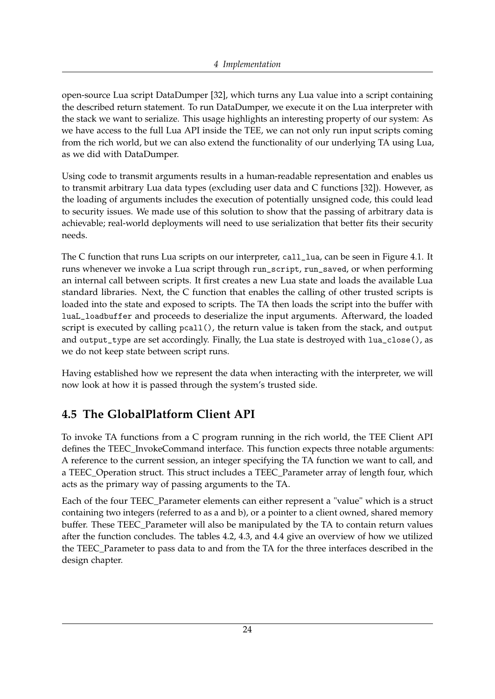open-source Lua script DataDumper [\[32\]](#page-54-6), which turns any Lua value into a script containing the described return statement. To run DataDumper, we execute it on the Lua interpreter with the stack we want to serialize. This usage highlights an interesting property of our system: As we have access to the full Lua API inside the TEE, we can not only run input scripts coming from the rich world, but we can also extend the functionality of our underlying TA using Lua, as we did with DataDumper.

Using code to transmit arguments results in a human-readable representation and enables us to transmit arbitrary Lua data types (excluding user data and C functions [\[32\]](#page-54-6)). However, as the loading of arguments includes the execution of potentially unsigned code, this could lead to security issues. We made use of this solution to show that the passing of arbitrary data is achievable; real-world deployments will need to use serialization that better fits their security needs.

The C function that runs Lua scripts on our interpreter, call\_lua, can be seen in Figure [4.1.](#page-30-0) It runs whenever we invoke a Lua script through run\_script, run\_saved, or when performing an internal call between scripts. It first creates a new Lua state and loads the available Lua standard libraries. Next, the C function that enables the calling of other trusted scripts is loaded into the state and exposed to scripts. The TA then loads the script into the buffer with luaL\_loadbuffer and proceeds to deserialize the input arguments. Afterward, the loaded script is executed by calling pcall(), the return value is taken from the stack, and output and output\_type are set accordingly. Finally, the Lua state is destroyed with lua\_close(), as we do not keep state between script runs.

Having established how we represent the data when interacting with the interpreter, we will now look at how it is passed through the system's trusted side.

## <span id="page-29-0"></span>**4.5 The GlobalPlatform Client API**

To invoke TA functions from a C program running in the rich world, the TEE Client API defines the TEEC\_InvokeCommand interface. This function expects three notable arguments: A reference to the current session, an integer specifying the TA function we want to call, and a TEEC\_Operation struct. This struct includes a TEEC\_Parameter array of length four, which acts as the primary way of passing arguments to the TA.

Each of the four TEEC\_Parameter elements can either represent a "value" which is a struct containing two integers (referred to as a and b), or a pointer to a client owned, shared memory buffer. These TEEC\_Parameter will also be manipulated by the TA to contain return values after the function concludes. The tables [4.2,](#page-31-0) [4.3,](#page-31-1) and [4.4](#page-31-2) give an overview of how we utilized the TEEC\_Parameter to pass data to and from the TA for the three interfaces described in the design chapter.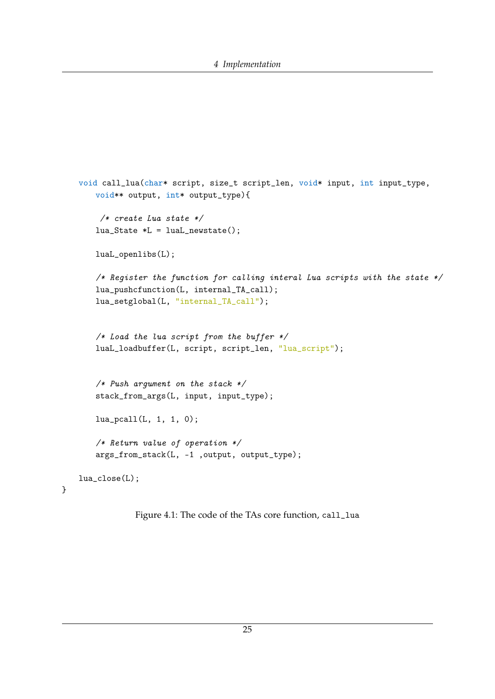```
void call_lua(char* script, size_t script_len, void* input, int input_type,
   void** output, int* output_type){
    /* create Lua state */
   lua_State *L = luaL_newstate();
   luaL_openlibs(L);
   /* Register the function for calling interal Lua scripts with the state */lua_pushcfunction(L, internal_TA_call);
   lua_setglobal(L, "internal_TA_call");
   /* Load the lua script from the buffer */
   luaL_loadbuffer(L, script, script_len, "lua_script");
   /* Push argument on the stack */stack_from_args(L, input, input_type);
   lua_pcall(L, 1, 1, 0);
   /* Return value of operation */
   args_from_stack(L, -1 ,output, output_type);
lua_close(L);
```
Figure 4.1: The code of the TAs core function, call\_lua

}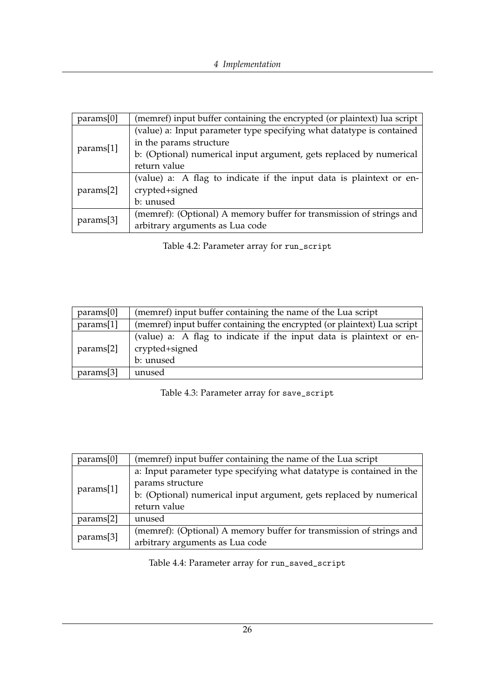<span id="page-31-0"></span>

| params[0] | (memref) input buffer containing the encrypted (or plaintext) lua script |  |
|-----------|--------------------------------------------------------------------------|--|
|           | (value) a: Input parameter type specifying what datatype is contained    |  |
|           | in the params structure                                                  |  |
| params[1] | b: (Optional) numerical input argument, gets replaced by numerical       |  |
|           | return value                                                             |  |
|           | (value) a: A flag to indicate if the input data is plaintext or en-      |  |
| params[2] | crypted+signed                                                           |  |
|           | b: unused                                                                |  |
|           | (memref): (Optional) A memory buffer for transmission of strings and     |  |
| params[3] | arbitrary arguments as Lua code                                          |  |

Table 4.2: Parameter array for run\_script

<span id="page-31-1"></span>

| (memref) input buffer containing the name of the Lua script<br>params[0]              |                                                                                                    |  |  |
|---------------------------------------------------------------------------------------|----------------------------------------------------------------------------------------------------|--|--|
| params[1]<br>(memref) input buffer containing the encrypted (or plaintext) Lua script |                                                                                                    |  |  |
| params[2]                                                                             | (value) a: A flag to indicate if the input data is plaintext or en-<br>crypted+signed<br>b: unused |  |  |
| params[3]                                                                             | unused                                                                                             |  |  |

Table 4.3: Parameter array for save\_script

<span id="page-31-2"></span>

| params[0] | (memref) input buffer containing the name of the Lua script          |  |
|-----------|----------------------------------------------------------------------|--|
|           | a: Input parameter type specifying what datatype is contained in the |  |
| params[1] | params structure                                                     |  |
|           | b: (Optional) numerical input argument, gets replaced by numerical   |  |
|           | return value                                                         |  |
| params[2] | unused                                                               |  |
|           | (memref): (Optional) A memory buffer for transmission of strings and |  |
| params[3] | arbitrary arguments as Lua code                                      |  |

Table 4.4: Parameter array for run\_saved\_script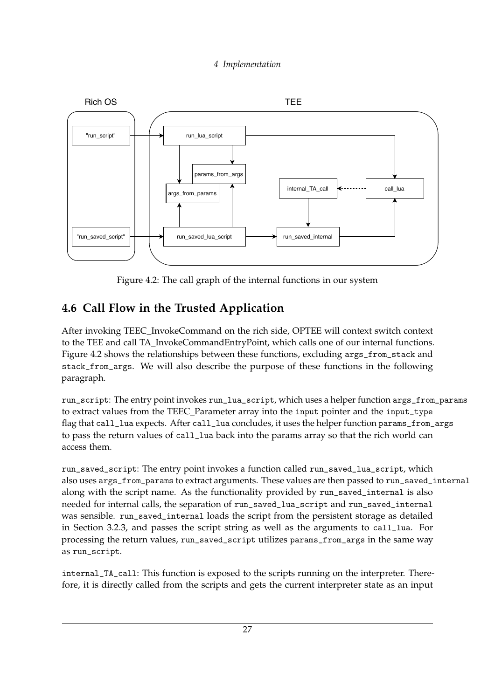<span id="page-32-1"></span>

Figure 4.2: The call graph of the internal functions in our system

## <span id="page-32-0"></span>**4.6 Call Flow in the Trusted Application**

After invoking TEEC\_InvokeCommand on the rich side, OPTEE will context switch context to the TEE and call TA\_InvokeCommandEntryPoint, which calls one of our internal functions. Figure [4.2](#page-32-1) shows the relationships between these functions, excluding args\_from\_stack and stack\_from\_args. We will also describe the purpose of these functions in the following paragraph.

run\_script: The entry point invokes run\_lua\_script, which uses a helper function args\_from\_params to extract values from the TEEC\_Parameter array into the input pointer and the input\_type flag that call\_lua expects. After call\_lua concludes, it uses the helper function params\_from\_args to pass the return values of call\_lua back into the params array so that the rich world can access them.

run\_saved\_script: The entry point invokes a function called run\_saved\_lua\_script, which also uses args\_from\_params to extract arguments. These values are then passed to run\_saved\_internal along with the script name. As the functionality provided by run\_saved\_internal is also needed for internal calls, the separation of run\_saved\_lua\_script and run\_saved\_internal was sensible. run\_saved\_internal loads the script from the persistent storage as detailed in Section [3.2.3,](#page-20-0) and passes the script string as well as the arguments to call\_lua. For processing the return values, run\_saved\_script utilizes params\_from\_args in the same way as run\_script.

internal\_TA\_call: This function is exposed to the scripts running on the interpreter. Therefore, it is directly called from the scripts and gets the current interpreter state as an input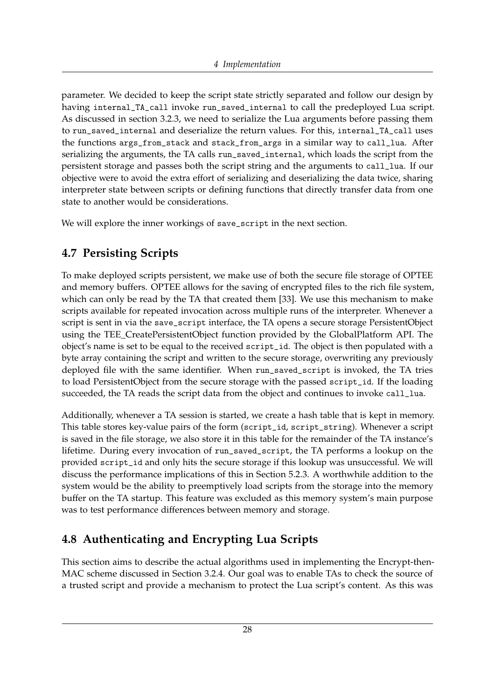parameter. We decided to keep the script state strictly separated and follow our design by having internal\_TA\_call invoke run\_saved\_internal to call the predeployed Lua script. As discussed in section [3.2.3,](#page-20-0) we need to serialize the Lua arguments before passing them to run\_saved\_internal and deserialize the return values. For this, internal\_TA\_call uses the functions args\_from\_stack and stack\_from\_args in a similar way to call\_lua. After serializing the arguments, the TA calls run\_saved\_internal, which loads the script from the persistent storage and passes both the script string and the arguments to call\_lua. If our objective were to avoid the extra effort of serializing and deserializing the data twice, sharing interpreter state between scripts or defining functions that directly transfer data from one state to another would be considerations.

We will explore the inner workings of save\_script in the next section.

## <span id="page-33-0"></span>**4.7 Persisting Scripts**

To make deployed scripts persistent, we make use of both the secure file storage of OPTEE and memory buffers. OPTEE allows for the saving of encrypted files to the rich file system, which can only be read by the TA that created them [\[33\]](#page-54-7). We use this mechanism to make scripts available for repeated invocation across multiple runs of the interpreter. Whenever a script is sent in via the save\_script interface, the TA opens a secure storage PersistentObject using the TEE\_CreatePersistentObject function provided by the GlobalPlatform API. The object's name is set to be equal to the received script\_id. The object is then populated with a byte array containing the script and written to the secure storage, overwriting any previously deployed file with the same identifier. When run\_saved\_script is invoked, the TA tries to load PersistentObject from the secure storage with the passed script\_id. If the loading succeeded, the TA reads the script data from the object and continues to invoke call\_lua.

Additionally, whenever a TA session is started, we create a hash table that is kept in memory. This table stores key-value pairs of the form (script\_id, script\_string). Whenever a script is saved in the file storage, we also store it in this table for the remainder of the TA instance's lifetime. During every invocation of run\_saved\_script, the TA performs a lookup on the provided script\_id and only hits the secure storage if this lookup was unsuccessful. We will discuss the performance implications of this in Section [5.2.3.](#page-39-1) A worthwhile addition to the system would be the ability to preemptively load scripts from the storage into the memory buffer on the TA startup. This feature was excluded as this memory system's main purpose was to test performance differences between memory and storage.

## <span id="page-33-1"></span>**4.8 Authenticating and Encrypting Lua Scripts**

This section aims to describe the actual algorithms used in implementing the Encrypt-then-MAC scheme discussed in Section [3.2.4.](#page-23-0) Our goal was to enable TAs to check the source of a trusted script and provide a mechanism to protect the Lua script's content. As this was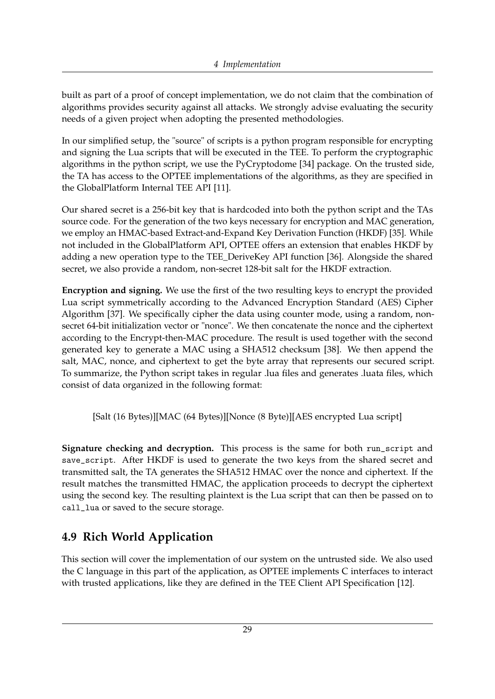built as part of a proof of concept implementation, we do not claim that the combination of algorithms provides security against all attacks. We strongly advise evaluating the security needs of a given project when adopting the presented methodologies.

In our simplified setup, the "source" of scripts is a python program responsible for encrypting and signing the Lua scripts that will be executed in the TEE. To perform the cryptographic algorithms in the python script, we use the PyCryptodome [\[34\]](#page-54-8) package. On the trusted side, the TA has access to the OPTEE implementations of the algorithms, as they are specified in the GlobalPlatform Internal TEE API [\[11\]](#page-52-11).

Our shared secret is a 256-bit key that is hardcoded into both the python script and the TAs source code. For the generation of the two keys necessary for encryption and MAC generation, we employ an HMAC-based Extract-and-Expand Key Derivation Function (HKDF) [\[35\]](#page-54-9). While not included in the GlobalPlatform API, OPTEE offers an extension that enables HKDF by adding a new operation type to the TEE\_DeriveKey API function [\[36\]](#page-54-10). Alongside the shared secret, we also provide a random, non-secret 128-bit salt for the HKDF extraction.

**Encryption and signing.** We use the first of the two resulting keys to encrypt the provided Lua script symmetrically according to the Advanced Encryption Standard (AES) Cipher Algorithm [\[37\]](#page-54-11). We specifically cipher the data using counter mode, using a random, nonsecret 64-bit initialization vector or "nonce". We then concatenate the nonce and the ciphertext according to the Encrypt-then-MAC procedure. The result is used together with the second generated key to generate a MAC using a SHA512 checksum [\[38\]](#page-54-12). We then append the salt, MAC, nonce, and ciphertext to get the byte array that represents our secured script. To summarize, the Python script takes in regular .lua files and generates .luata files, which consist of data organized in the following format:

[Salt (16 Bytes)][MAC (64 Bytes)][Nonce (8 Byte)][AES encrypted Lua script]

**Signature checking and decryption.** This process is the same for both run\_script and save\_script. After HKDF is used to generate the two keys from the shared secret and transmitted salt, the TA generates the SHA512 HMAC over the nonce and ciphertext. If the result matches the transmitted HMAC, the application proceeds to decrypt the ciphertext using the second key. The resulting plaintext is the Lua script that can then be passed on to call\_lua or saved to the secure storage.

### <span id="page-34-0"></span>**4.9 Rich World Application**

This section will cover the implementation of our system on the untrusted side. We also used the C language in this part of the application, as OPTEE implements C interfaces to interact with trusted applications, like they are defined in the TEE Client API Specification [\[12\]](#page-53-1).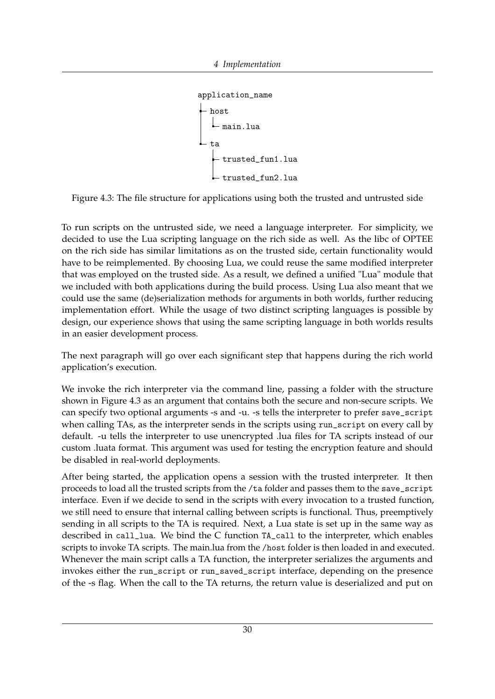```
application_name
  host
    main.lua
  t^2trusted_fun1.lua
     trusted_fun2.lua
```
<span id="page-35-0"></span>Figure 4.3: The file structure for applications using both the trusted and untrusted side

To run scripts on the untrusted side, we need a language interpreter. For simplicity, we decided to use the Lua scripting language on the rich side as well. As the libc of OPTEE on the rich side has similar limitations as on the trusted side, certain functionality would have to be reimplemented. By choosing Lua, we could reuse the same modified interpreter that was employed on the trusted side. As a result, we defined a unified "Lua" module that we included with both applications during the build process. Using Lua also meant that we could use the same (de)serialization methods for arguments in both worlds, further reducing implementation effort. While the usage of two distinct scripting languages is possible by design, our experience shows that using the same scripting language in both worlds results in an easier development process.

The next paragraph will go over each significant step that happens during the rich world application's execution.

We invoke the rich interpreter via the command line, passing a folder with the structure shown in Figure [4.3](#page-35-0) as an argument that contains both the secure and non-secure scripts. We can specify two optional arguments -s and -u. -s tells the interpreter to prefer save\_script when calling TAs, as the interpreter sends in the scripts using run\_script on every call by default. -u tells the interpreter to use unencrypted .lua files for TA scripts instead of our custom .luata format. This argument was used for testing the encryption feature and should be disabled in real-world deployments.

After being started, the application opens a session with the trusted interpreter. It then proceeds to load all the trusted scripts from the /ta folder and passes them to the save\_script interface. Even if we decide to send in the scripts with every invocation to a trusted function, we still need to ensure that internal calling between scripts is functional. Thus, preemptively sending in all scripts to the TA is required. Next, a Lua state is set up in the same way as described in call\_lua. We bind the C function TA\_call to the interpreter, which enables scripts to invoke TA scripts. The main.lua from the /host folder is then loaded in and executed. Whenever the main script calls a TA function, the interpreter serializes the arguments and invokes either the run\_script or run\_saved\_script interface, depending on the presence of the -s flag. When the call to the TA returns, the return value is deserialized and put on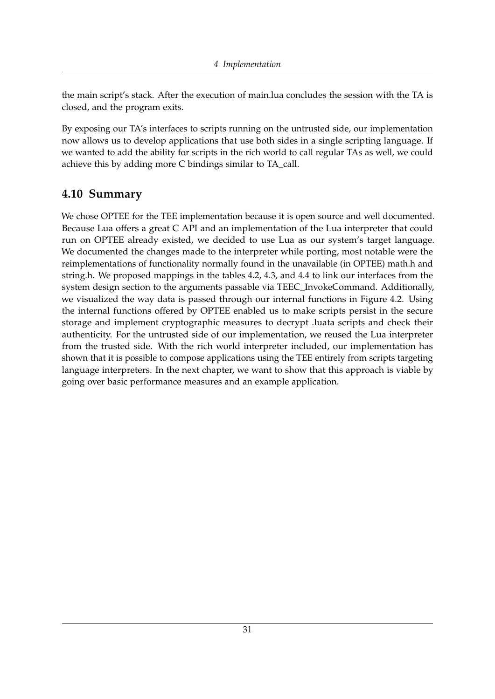the main script's stack. After the execution of main.lua concludes the session with the TA is closed, and the program exits.

By exposing our TA's interfaces to scripts running on the untrusted side, our implementation now allows us to develop applications that use both sides in a single scripting language. If we wanted to add the ability for scripts in the rich world to call regular TAs as well, we could achieve this by adding more C bindings similar to TA\_call.

#### <span id="page-36-0"></span>**4.10 Summary**

We chose OPTEE for the TEE implementation because it is open source and well documented. Because Lua offers a great C API and an implementation of the Lua interpreter that could run on OPTEE already existed, we decided to use Lua as our system's target language. We documented the changes made to the interpreter while porting, most notable were the reimplementations of functionality normally found in the unavailable (in OPTEE) math.h and string.h. We proposed mappings in the tables [4.2,](#page-31-0) [4.3,](#page-31-1) and [4.4](#page-31-2) to link our interfaces from the system design section to the arguments passable via TEEC\_InvokeCommand. Additionally, we visualized the way data is passed through our internal functions in Figure [4.2.](#page-32-1) Using the internal functions offered by OPTEE enabled us to make scripts persist in the secure storage and implement cryptographic measures to decrypt .luata scripts and check their authenticity. For the untrusted side of our implementation, we reused the Lua interpreter from the trusted side. With the rich world interpreter included, our implementation has shown that it is possible to compose applications using the TEE entirely from scripts targeting language interpreters. In the next chapter, we want to show that this approach is viable by going over basic performance measures and an example application.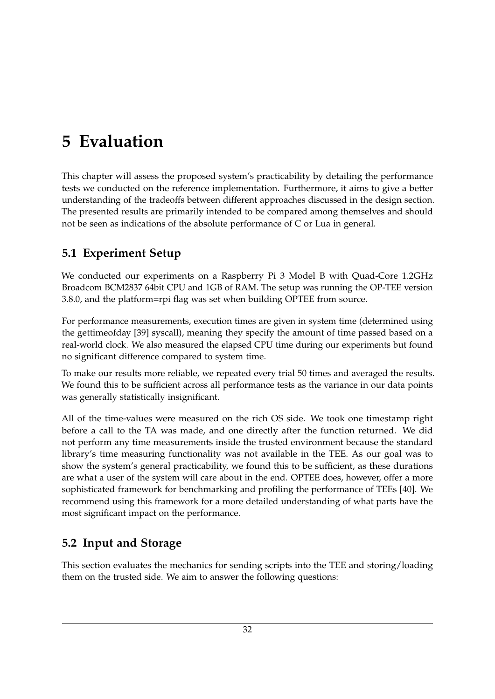## <span id="page-37-0"></span>**5 Evaluation**

This chapter will assess the proposed system's practicability by detailing the performance tests we conducted on the reference implementation. Furthermore, it aims to give a better understanding of the tradeoffs between different approaches discussed in the design section. The presented results are primarily intended to be compared among themselves and should not be seen as indications of the absolute performance of C or Lua in general.

## <span id="page-37-1"></span>**5.1 Experiment Setup**

We conducted our experiments on a Raspberry Pi 3 Model B with Quad-Core 1.2GHz Broadcom BCM2837 64bit CPU and 1GB of RAM. The setup was running the OP-TEE version 3.8.0, and the platform=rpi flag was set when building OPTEE from source.

For performance measurements, execution times are given in system time (determined using the gettimeofday [\[39\]](#page-54-13) syscall), meaning they specify the amount of time passed based on a real-world clock. We also measured the elapsed CPU time during our experiments but found no significant difference compared to system time.

To make our results more reliable, we repeated every trial 50 times and averaged the results. We found this to be sufficient across all performance tests as the variance in our data points was generally statistically insignificant.

All of the time-values were measured on the rich OS side. We took one timestamp right before a call to the TA was made, and one directly after the function returned. We did not perform any time measurements inside the trusted environment because the standard library's time measuring functionality was not available in the TEE. As our goal was to show the system's general practicability, we found this to be sufficient, as these durations are what a user of the system will care about in the end. OPTEE does, however, offer a more sophisticated framework for benchmarking and profiling the performance of TEEs [\[40\]](#page-54-14). We recommend using this framework for a more detailed understanding of what parts have the most significant impact on the performance.

## <span id="page-37-2"></span>**5.2 Input and Storage**

This section evaluates the mechanics for sending scripts into the TEE and storing/loading them on the trusted side. We aim to answer the following questions: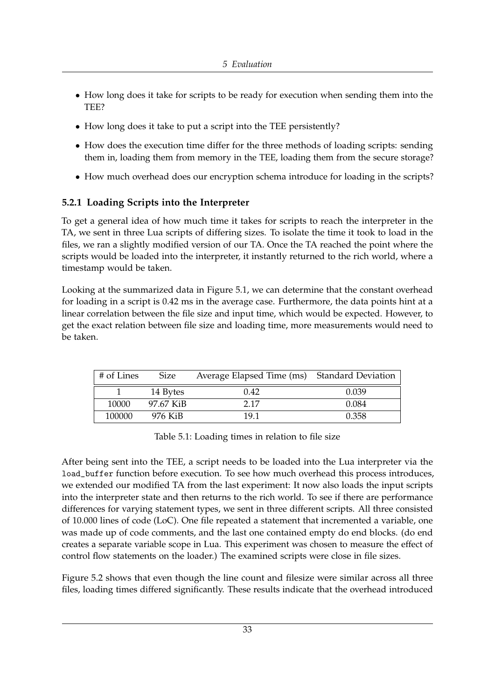- How long does it take for scripts to be ready for execution when sending them into the TEE?
- How long does it take to put a script into the TEE persistently?
- How does the execution time differ for the three methods of loading scripts: sending them in, loading them from memory in the TEE, loading them from the secure storage?
- How much overhead does our encryption schema introduce for loading in the scripts?

#### <span id="page-38-0"></span>**5.2.1 Loading Scripts into the Interpreter**

To get a general idea of how much time it takes for scripts to reach the interpreter in the TA, we sent in three Lua scripts of differing sizes. To isolate the time it took to load in the files, we ran a slightly modified version of our TA. Once the TA reached the point where the scripts would be loaded into the interpreter, it instantly returned to the rich world, where a timestamp would be taken.

Looking at the summarized data in Figure [5.1,](#page-38-1) we can determine that the constant overhead for loading in a script is 0.42 ms in the average case. Furthermore, the data points hint at a linear correlation between the file size and input time, which would be expected. However, to get the exact relation between file size and loading time, more measurements would need to be taken.

<span id="page-38-1"></span>

| # of Lines | <b>Size</b> | Average Elapsed Time (ms) Standard Deviation |       |
|------------|-------------|----------------------------------------------|-------|
|            | 14 Bytes    | 0.42                                         | 0.039 |
| 10000      | 97.67 KiB   | 2 17                                         | 0.084 |
| 100000     | 976 KiB     | 19 1                                         | 0.358 |

Table 5.1: Loading times in relation to file size

After being sent into the TEE, a script needs to be loaded into the Lua interpreter via the load\_buffer function before execution. To see how much overhead this process introduces, we extended our modified TA from the last experiment: It now also loads the input scripts into the interpreter state and then returns to the rich world. To see if there are performance differences for varying statement types, we sent in three different scripts. All three consisted of 10.000 lines of code (LoC). One file repeated a statement that incremented a variable, one was made up of code comments, and the last one contained empty do end blocks. (do end creates a separate variable scope in Lua. This experiment was chosen to measure the effect of control flow statements on the loader.) The examined scripts were close in file sizes.

Figure [5.2](#page-39-2) shows that even though the line count and filesize were similar across all three files, loading times differed significantly. These results indicate that the overhead introduced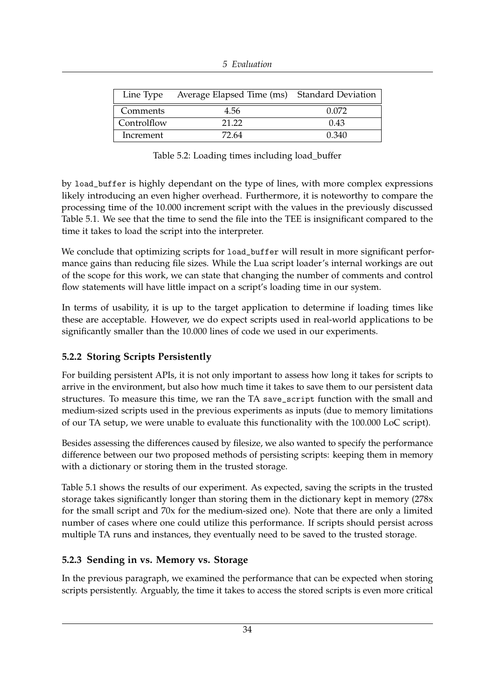| 5 Evaluation |  |
|--------------|--|
|--------------|--|

<span id="page-39-2"></span>

|             | Line Type Average Elapsed Time (ms) Standard Deviation |       |
|-------------|--------------------------------------------------------|-------|
| Comments    | 4.56                                                   | 0.072 |
| Controlflow | 21.22                                                  | 0.43  |
| Increment   | 72.64                                                  | 0.340 |

Table 5.2: Loading times including load\_buffer

by load\_buffer is highly dependant on the type of lines, with more complex expressions likely introducing an even higher overhead. Furthermore, it is noteworthy to compare the processing time of the 10.000 increment script with the values in the previously discussed Table [5.1.](#page-38-1) We see that the time to send the file into the TEE is insignificant compared to the time it takes to load the script into the interpreter.

We conclude that optimizing scripts for load\_buffer will result in more significant performance gains than reducing file sizes. While the Lua script loader's internal workings are out of the scope for this work, we can state that changing the number of comments and control flow statements will have little impact on a script's loading time in our system.

In terms of usability, it is up to the target application to determine if loading times like these are acceptable. However, we do expect scripts used in real-world applications to be significantly smaller than the 10.000 lines of code we used in our experiments.

#### <span id="page-39-0"></span>**5.2.2 Storing Scripts Persistently**

For building persistent APIs, it is not only important to assess how long it takes for scripts to arrive in the environment, but also how much time it takes to save them to our persistent data structures. To measure this time, we ran the TA save\_script function with the small and medium-sized scripts used in the previous experiments as inputs (due to memory limitations of our TA setup, we were unable to evaluate this functionality with the 100.000 LoC script).

Besides assessing the differences caused by filesize, we also wanted to specify the performance difference between our two proposed methods of persisting scripts: keeping them in memory with a dictionary or storing them in the trusted storage.

Table [5.1](#page-40-0) shows the results of our experiment. As expected, saving the scripts in the trusted storage takes significantly longer than storing them in the dictionary kept in memory (278x for the small script and 70x for the medium-sized one). Note that there are only a limited number of cases where one could utilize this performance. If scripts should persist across multiple TA runs and instances, they eventually need to be saved to the trusted storage.

#### <span id="page-39-1"></span>**5.2.3 Sending in vs. Memory vs. Storage**

In the previous paragraph, we examined the performance that can be expected when storing scripts persistently. Arguably, the time it takes to access the stored scripts is even more critical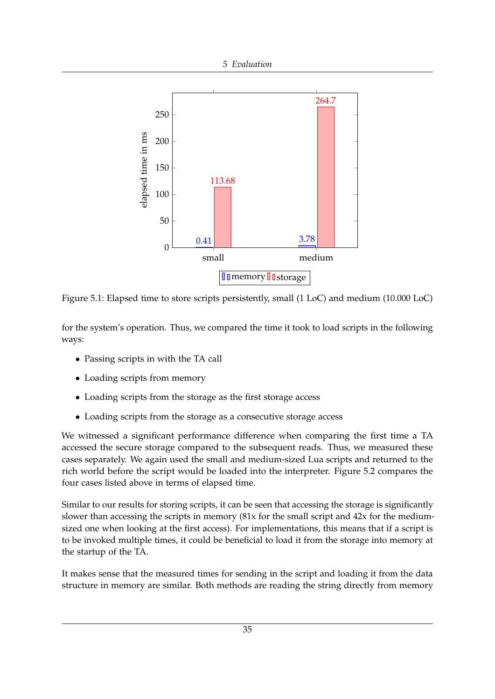<span id="page-40-0"></span>

Figure 5.1: Elapsed time to store scripts persistently, small (1 LoC) and medium (10.000 LoC)

for the system's operation. Thus, we compared the time it took to load scripts in the following ways:

- Passing scripts in with the TA call
- Loading scripts from memory
- Loading scripts from the storage as the first storage access
- Loading scripts from the storage as a consecutive storage access

We witnessed a significant performance difference when comparing the first time a TA accessed the secure storage compared to the subsequent reads. Thus, we measured these cases separately. We again used the small and medium-sized Lua scripts and returned to the rich world before the script would be loaded into the interpreter. Figure [5.2](#page-41-1) compares the four cases listed above in terms of elapsed time.

Similar to our results for storing scripts, it can be seen that accessing the storage is significantly slower than accessing the scripts in memory (81x for the small script and 42x for the mediumsized one when looking at the first access). For implementations, this means that if a script is to be invoked multiple times, it could be beneficial to load it from the storage into memory at the startup of the TA.

It makes sense that the measured times for sending in the script and loading it from the data structure in memory are similar. Both methods are reading the string directly from memory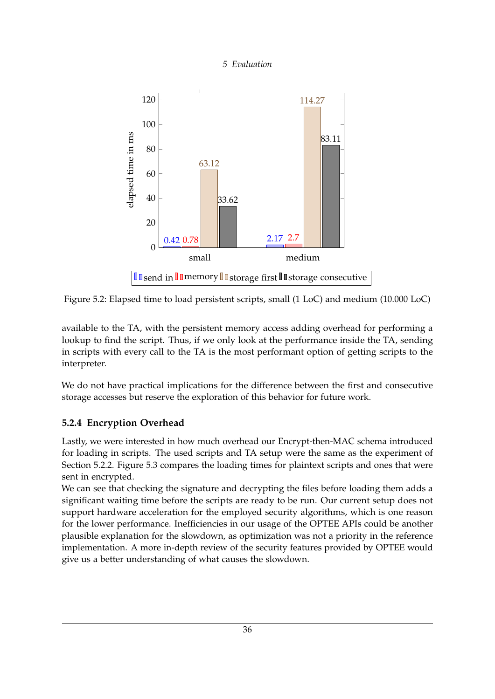<span id="page-41-1"></span>

Figure 5.2: Elapsed time to load persistent scripts, small (1 LoC) and medium (10.000 LoC)

available to the TA, with the persistent memory access adding overhead for performing a lookup to find the script. Thus, if we only look at the performance inside the TA, sending in scripts with every call to the TA is the most performant option of getting scripts to the interpreter.

We do not have practical implications for the difference between the first and consecutive storage accesses but reserve the exploration of this behavior for future work.

#### <span id="page-41-0"></span>**5.2.4 Encryption Overhead**

Lastly, we were interested in how much overhead our Encrypt-then-MAC schema introduced for loading in scripts. The used scripts and TA setup were the same as the experiment of Section [5.2.2.](#page-39-0) Figure [5.3](#page-42-1) compares the loading times for plaintext scripts and ones that were sent in encrypted.

We can see that checking the signature and decrypting the files before loading them adds a significant waiting time before the scripts are ready to be run. Our current setup does not support hardware acceleration for the employed security algorithms, which is one reason for the lower performance. Inefficiencies in our usage of the OPTEE APIs could be another plausible explanation for the slowdown, as optimization was not a priority in the reference implementation. A more in-depth review of the security features provided by OPTEE would give us a better understanding of what causes the slowdown.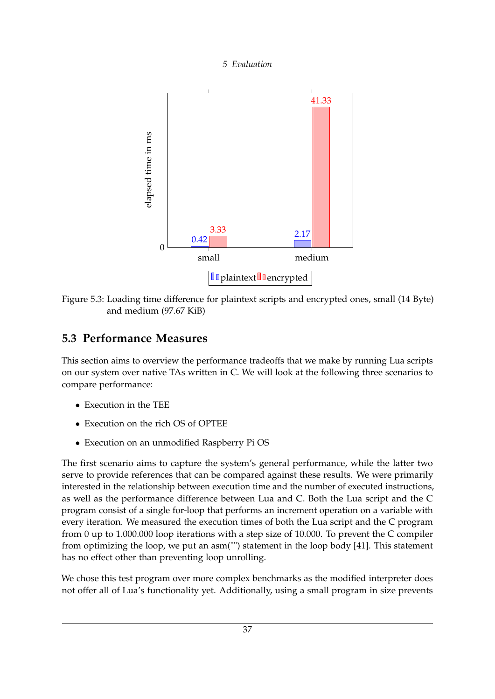<span id="page-42-1"></span>

Figure 5.3: Loading time difference for plaintext scripts and encrypted ones, small (14 Byte) and medium (97.67 KiB)

### <span id="page-42-0"></span>**5.3 Performance Measures**

This section aims to overview the performance tradeoffs that we make by running Lua scripts on our system over native TAs written in C. We will look at the following three scenarios to compare performance:

- Execution in the TEE
- Execution on the rich OS of OPTEE
- Execution on an unmodified Raspberry Pi OS

The first scenario aims to capture the system's general performance, while the latter two serve to provide references that can be compared against these results. We were primarily interested in the relationship between execution time and the number of executed instructions, as well as the performance difference between Lua and C. Both the Lua script and the C program consist of a single for-loop that performs an increment operation on a variable with every iteration. We measured the execution times of both the Lua script and the C program from 0 up to 1.000.000 loop iterations with a step size of 10.000. To prevent the C compiler from optimizing the loop, we put an asm("") statement in the loop body [\[41\]](#page-54-15). This statement has no effect other than preventing loop unrolling.

We chose this test program over more complex benchmarks as the modified interpreter does not offer all of Lua's functionality yet. Additionally, using a small program in size prevents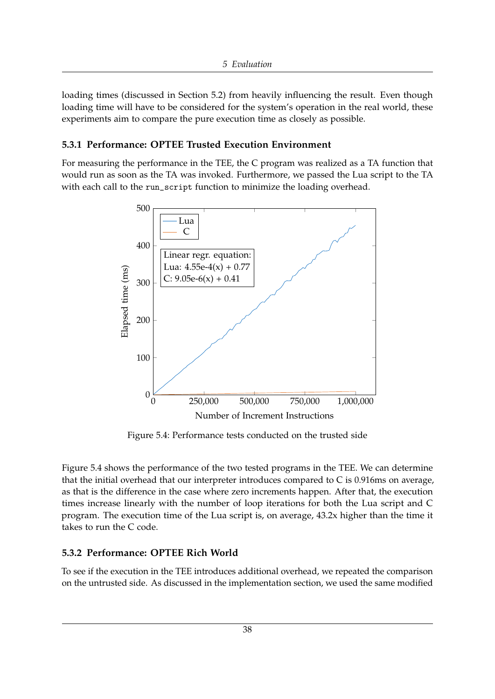loading times (discussed in Section [5.2\)](#page-37-2) from heavily influencing the result. Even though loading time will have to be considered for the system's operation in the real world, these experiments aim to compare the pure execution time as closely as possible.

#### <span id="page-43-0"></span>**5.3.1 Performance: OPTEE Trusted Execution Environment**

<span id="page-43-2"></span>For measuring the performance in the TEE, the C program was realized as a TA function that would run as soon as the TA was invoked. Furthermore, we passed the Lua script to the TA with each call to the run\_script function to minimize the loading overhead.



Figure 5.4: Performance tests conducted on the trusted side

Figure [5.4](#page-43-2) shows the performance of the two tested programs in the TEE. We can determine that the initial overhead that our interpreter introduces compared to  $C$  is 0.916ms on average, as that is the difference in the case where zero increments happen. After that, the execution times increase linearly with the number of loop iterations for both the Lua script and C program. The execution time of the Lua script is, on average, 43.2x higher than the time it takes to run the C code.

#### <span id="page-43-1"></span>**5.3.2 Performance: OPTEE Rich World**

To see if the execution in the TEE introduces additional overhead, we repeated the comparison on the untrusted side. As discussed in the implementation section, we used the same modified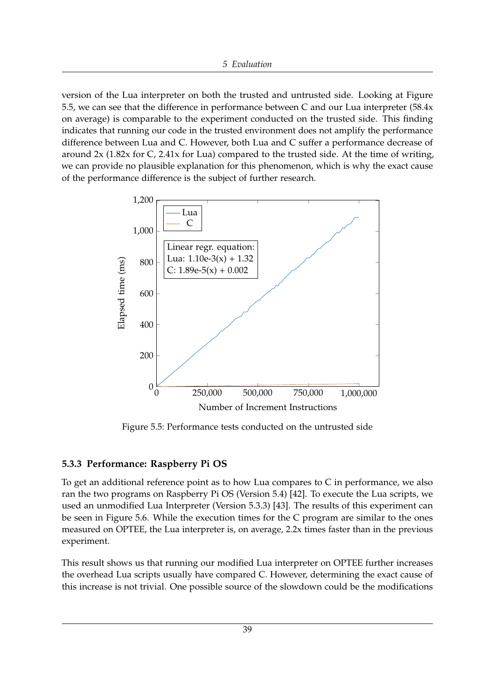version of the Lua interpreter on both the trusted and untrusted side. Looking at Figure [5.5,](#page-44-1) we can see that the difference in performance between C and our Lua interpreter (58.4x on average) is comparable to the experiment conducted on the trusted side. This finding indicates that running our code in the trusted environment does not amplify the performance difference between Lua and C. However, both Lua and C suffer a performance decrease of around  $2x$  (1.82x for C, 2.41x for Lua) compared to the trusted side. At the time of writing, we can provide no plausible explanation for this phenomenon, which is why the exact cause of the performance difference is the subject of further research.

<span id="page-44-1"></span>

Figure 5.5: Performance tests conducted on the untrusted side

#### <span id="page-44-0"></span>**5.3.3 Performance: Raspberry Pi OS**

To get an additional reference point as to how Lua compares to C in performance, we also ran the two programs on Raspberry Pi OS (Version 5.4) [\[42\]](#page-55-0). To execute the Lua scripts, we used an unmodified Lua Interpreter (Version 5.3.3) [\[43\]](#page-55-1). The results of this experiment can be seen in Figure [5.6.](#page-45-1) While the execution times for the C program are similar to the ones measured on OPTEE, the Lua interpreter is, on average, 2.2x times faster than in the previous experiment.

This result shows us that running our modified Lua interpreter on OPTEE further increases the overhead Lua scripts usually have compared C. However, determining the exact cause of this increase is not trivial. One possible source of the slowdown could be the modifications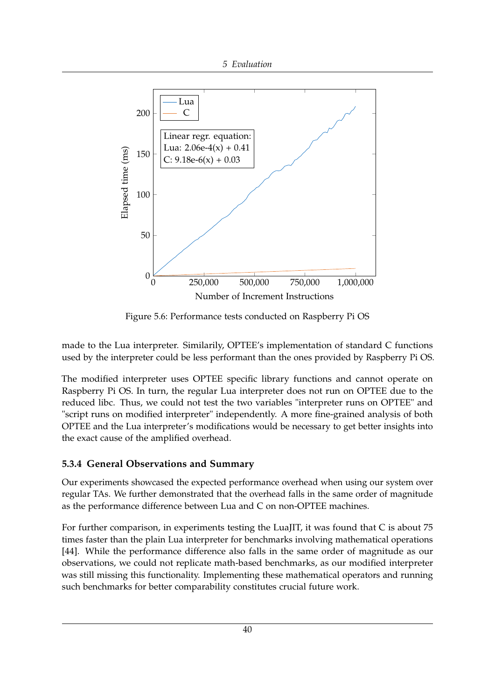<span id="page-45-1"></span>

Figure 5.6: Performance tests conducted on Raspberry Pi OS

made to the Lua interpreter. Similarily, OPTEE's implementation of standard C functions used by the interpreter could be less performant than the ones provided by Raspberry Pi OS.

The modified interpreter uses OPTEE specific library functions and cannot operate on Raspberry Pi OS. In turn, the regular Lua interpreter does not run on OPTEE due to the reduced libc. Thus, we could not test the two variables "interpreter runs on OPTEE" and "script runs on modified interpreter" independently. A more fine-grained analysis of both OPTEE and the Lua interpreter's modifications would be necessary to get better insights into the exact cause of the amplified overhead.

#### <span id="page-45-0"></span>**5.3.4 General Observations and Summary**

Our experiments showcased the expected performance overhead when using our system over regular TAs. We further demonstrated that the overhead falls in the same order of magnitude as the performance difference between Lua and C on non-OPTEE machines.

For further comparison, in experiments testing the LuaJIT, it was found that C is about 75 times faster than the plain Lua interpreter for benchmarks involving mathematical operations [\[44\]](#page-55-2). While the performance difference also falls in the same order of magnitude as our observations, we could not replicate math-based benchmarks, as our modified interpreter was still missing this functionality. Implementing these mathematical operators and running such benchmarks for better comparability constitutes crucial future work.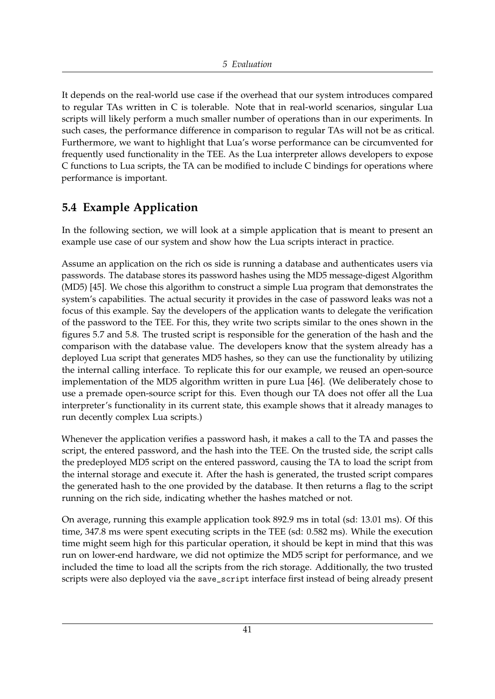It depends on the real-world use case if the overhead that our system introduces compared to regular TAs written in C is tolerable. Note that in real-world scenarios, singular Lua scripts will likely perform a much smaller number of operations than in our experiments. In such cases, the performance difference in comparison to regular TAs will not be as critical. Furthermore, we want to highlight that Lua's worse performance can be circumvented for frequently used functionality in the TEE. As the Lua interpreter allows developers to expose C functions to Lua scripts, the TA can be modified to include C bindings for operations where performance is important.

## <span id="page-46-0"></span>**5.4 Example Application**

In the following section, we will look at a simple application that is meant to present an example use case of our system and show how the Lua scripts interact in practice.

Assume an application on the rich os side is running a database and authenticates users via passwords. The database stores its password hashes using the MD5 message-digest Algorithm (MD5) [\[45\]](#page-55-3). We chose this algorithm to construct a simple Lua program that demonstrates the system's capabilities. The actual security it provides in the case of password leaks was not a focus of this example. Say the developers of the application wants to delegate the verification of the password to the TEE. For this, they write two scripts similar to the ones shown in the figures [5.7](#page-47-0) and [5.8.](#page-47-1) The trusted script is responsible for the generation of the hash and the comparison with the database value. The developers know that the system already has a deployed Lua script that generates MD5 hashes, so they can use the functionality by utilizing the internal calling interface. To replicate this for our example, we reused an open-source implementation of the MD5 algorithm written in pure Lua [\[46\]](#page-55-4). (We deliberately chose to use a premade open-source script for this. Even though our TA does not offer all the Lua interpreter's functionality in its current state, this example shows that it already manages to run decently complex Lua scripts.)

Whenever the application verifies a password hash, it makes a call to the TA and passes the script, the entered password, and the hash into the TEE. On the trusted side, the script calls the predeployed MD5 script on the entered password, causing the TA to load the script from the internal storage and execute it. After the hash is generated, the trusted script compares the generated hash to the one provided by the database. It then returns a flag to the script running on the rich side, indicating whether the hashes matched or not.

On average, running this example application took 892.9 ms in total (sd: 13.01 ms). Of this time, 347.8 ms were spent executing scripts in the TEE (sd: 0.582 ms). While the execution time might seem high for this particular operation, it should be kept in mind that this was run on lower-end hardware, we did not optimize the MD5 script for performance, and we included the time to load all the scripts from the rich storage. Additionally, the two trusted scripts were also deployed via the save\_script interface first instead of being already present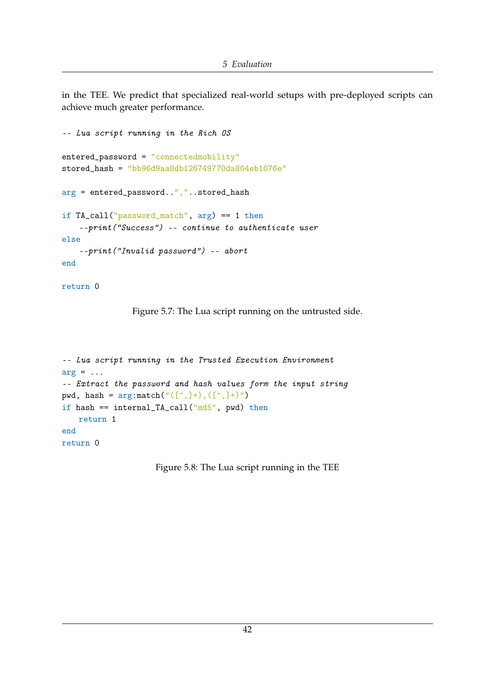in the TEE. We predict that specialized real-world setups with pre-deployed scripts can achieve much greater performance.

```
-- Lua script running in the Rich OS
entered_password = "connectedmobility"
stored_hash = "bb96d9aa8db126749770da804eb1076e"
arg = entered_password..","..stored_hash
if TA_call("password_match", arg) == 1 then
   --print("Success") -- continue to authenticate user
else
    --print("Invalid password") -- abort
end
```

```
return 0
```
Figure 5.7: The Lua script running on the untrusted side.

```
-- Lua script running in the Trusted Execution Environment
arg = \ldots-- Extract the password and hash values form the input string
pwd, hash = argutext{.}((\ulcorner\land\ldots]\urcorner), ([\ulcorner\land\ldots]\urcorner)")
if hash == internal_TA_call("md5", pwd) then
    return 1
end
return 0
```
Figure 5.8: The Lua script running in the TEE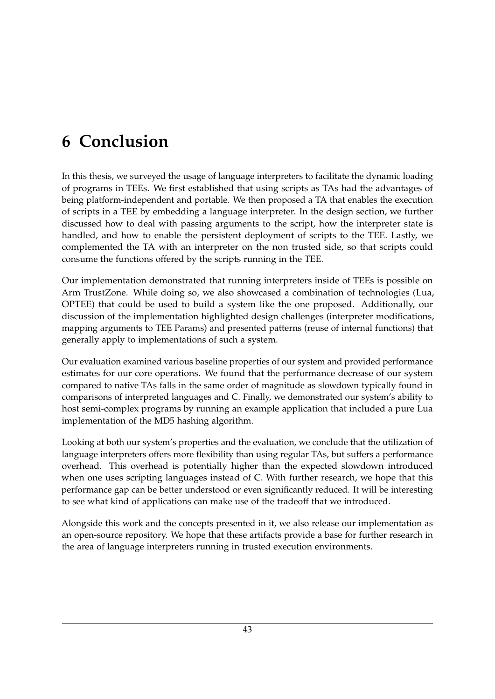## <span id="page-48-0"></span>**6 Conclusion**

In this thesis, we surveyed the usage of language interpreters to facilitate the dynamic loading of programs in TEEs. We first established that using scripts as TAs had the advantages of being platform-independent and portable. We then proposed a TA that enables the execution of scripts in a TEE by embedding a language interpreter. In the design section, we further discussed how to deal with passing arguments to the script, how the interpreter state is handled, and how to enable the persistent deployment of scripts to the TEE. Lastly, we complemented the TA with an interpreter on the non trusted side, so that scripts could consume the functions offered by the scripts running in the TEE.

Our implementation demonstrated that running interpreters inside of TEEs is possible on Arm TrustZone. While doing so, we also showcased a combination of technologies (Lua, OPTEE) that could be used to build a system like the one proposed. Additionally, our discussion of the implementation highlighted design challenges (interpreter modifications, mapping arguments to TEE Params) and presented patterns (reuse of internal functions) that generally apply to implementations of such a system.

Our evaluation examined various baseline properties of our system and provided performance estimates for our core operations. We found that the performance decrease of our system compared to native TAs falls in the same order of magnitude as slowdown typically found in comparisons of interpreted languages and C. Finally, we demonstrated our system's ability to host semi-complex programs by running an example application that included a pure Lua implementation of the MD5 hashing algorithm.

Looking at both our system's properties and the evaluation, we conclude that the utilization of language interpreters offers more flexibility than using regular TAs, but suffers a performance overhead. This overhead is potentially higher than the expected slowdown introduced when one uses scripting languages instead of C. With further research, we hope that this performance gap can be better understood or even significantly reduced. It will be interesting to see what kind of applications can make use of the tradeoff that we introduced.

Alongside this work and the concepts presented in it, we also release our implementation as an open-source repository. We hope that these artifacts provide a base for further research in the area of language interpreters running in trusted execution environments.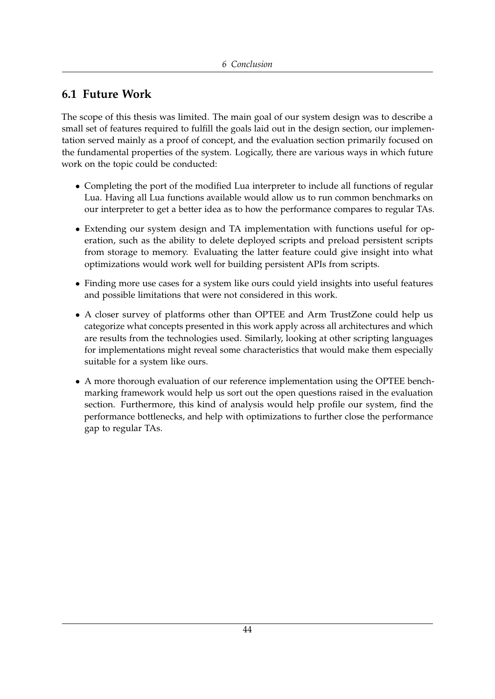### <span id="page-49-0"></span>**6.1 Future Work**

The scope of this thesis was limited. The main goal of our system design was to describe a small set of features required to fulfill the goals laid out in the design section, our implementation served mainly as a proof of concept, and the evaluation section primarily focused on the fundamental properties of the system. Logically, there are various ways in which future work on the topic could be conducted:

- Completing the port of the modified Lua interpreter to include all functions of regular Lua. Having all Lua functions available would allow us to run common benchmarks on our interpreter to get a better idea as to how the performance compares to regular TAs.
- Extending our system design and TA implementation with functions useful for operation, such as the ability to delete deployed scripts and preload persistent scripts from storage to memory. Evaluating the latter feature could give insight into what optimizations would work well for building persistent APIs from scripts.
- Finding more use cases for a system like ours could yield insights into useful features and possible limitations that were not considered in this work.
- A closer survey of platforms other than OPTEE and Arm TrustZone could help us categorize what concepts presented in this work apply across all architectures and which are results from the technologies used. Similarly, looking at other scripting languages for implementations might reveal some characteristics that would make them especially suitable for a system like ours.
- A more thorough evaluation of our reference implementation using the OPTEE benchmarking framework would help us sort out the open questions raised in the evaluation section. Furthermore, this kind of analysis would help profile our system, find the performance bottlenecks, and help with optimizations to further close the performance gap to regular TAs.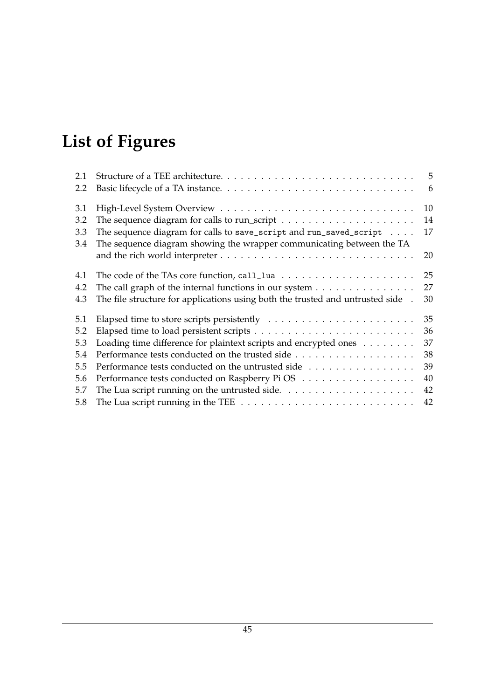# <span id="page-50-0"></span>**List of Figures**

| 2.1 |                                                                                         | 5  |
|-----|-----------------------------------------------------------------------------------------|----|
| 2.2 |                                                                                         | 6  |
| 3.1 |                                                                                         | 10 |
| 3.2 |                                                                                         | 14 |
| 3.3 | The sequence diagram for calls to save_script and run_saved_script $\dots$ .            | 17 |
| 3.4 | The sequence diagram showing the wrapper communicating between the TA                   |    |
|     |                                                                                         | 20 |
| 4.1 | The code of the TAs core function, call_lua $\ldots \ldots \ldots \ldots \ldots \ldots$ | 25 |
| 4.2 | The call graph of the internal functions in our system $\dots \dots \dots \dots \dots$  | 27 |
| 4.3 | The file structure for applications using both the trusted and untrusted side.          | 30 |
| 5.1 |                                                                                         | 35 |
| 5.2 |                                                                                         | 36 |
| 5.3 | Loading time difference for plaintext scripts and encrypted ones                        | 37 |
| 5.4 |                                                                                         | 38 |
| 5.5 | Performance tests conducted on the untrusted side                                       | 39 |
| 5.6 | Performance tests conducted on Raspberry PiOS                                           | 40 |
| 5.7 |                                                                                         | 42 |
| 5.8 |                                                                                         | 42 |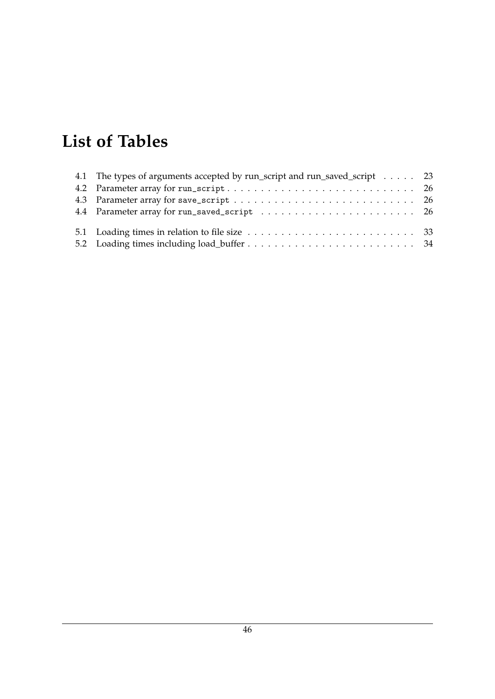## <span id="page-51-0"></span>**List of Tables**

| 4.1 The types of arguments accepted by run_script and run_saved_script 23 |  |
|---------------------------------------------------------------------------|--|
|                                                                           |  |
|                                                                           |  |
|                                                                           |  |
|                                                                           |  |
|                                                                           |  |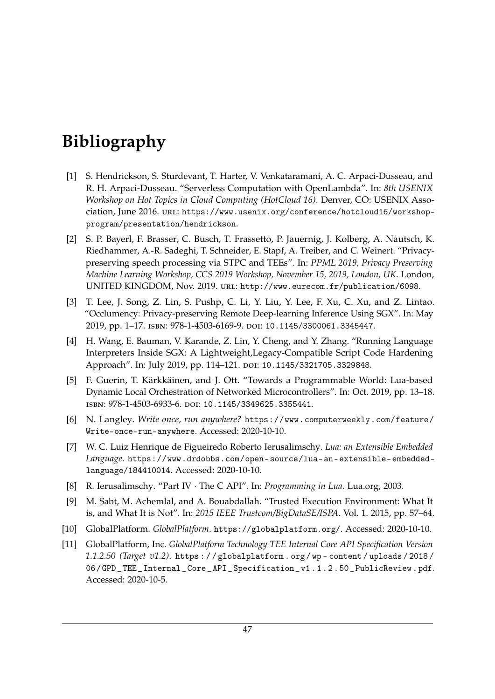## <span id="page-52-0"></span>**Bibliography**

- <span id="page-52-1"></span>[1] S. Hendrickson, S. Sturdevant, T. Harter, V. Venkataramani, A. C. Arpaci-Dusseau, and R. H. Arpaci-Dusseau. "Serverless Computation with OpenLambda". In: *8th USENIX Workshop on Hot Topics in Cloud Computing (HotCloud 16)*. Denver, CO: USENIX Association, June 2016. url: [https://www.usenix.org/conference/hotcloud16/workshop](https://www.usenix.org/conference/hotcloud16/workshop-program/presentation/hendrickson)[program/presentation/hendrickson](https://www.usenix.org/conference/hotcloud16/workshop-program/presentation/hendrickson).
- <span id="page-52-2"></span>[2] S. P. Bayerl, F. Brasser, C. Busch, T. Frassetto, P. Jauernig, J. Kolberg, A. Nautsch, K. Riedhammer, A.-R. Sadeghi, T. Schneider, E. Stapf, A. Treiber, and C. Weinert. "Privacypreserving speech processing via STPC and TEEs". In: *PPML 2019, Privacy Preserving Machine Learning Workshop, CCS 2019 Workshop, November 15, 2019, London, UK*. London, UNITED KINGDOM, Nov. 2019. url: <http://www.eurecom.fr/publication/6098>.
- <span id="page-52-3"></span>[3] T. Lee, J. Song, Z. Lin, S. Pushp, C. Li, Y. Liu, Y. Lee, F. Xu, C. Xu, and Z. Lintao. "Occlumency: Privacy-preserving Remote Deep-learning Inference Using SGX". In: May 2019, pp. 1–17. isbn: 978-1-4503-6169-9. doi: [10.1145/3300061.3345447](https://doi.org/10.1145/3300061.3345447).
- <span id="page-52-4"></span>[4] H. Wang, E. Bauman, V. Karande, Z. Lin, Y. Cheng, and Y. Zhang. "Running Language Interpreters Inside SGX: A Lightweight,Legacy-Compatible Script Code Hardening Approach". In: July 2019, pp. 114-121. DOI: [10.1145/3321705.3329848](https://doi.org/10.1145/3321705.3329848).
- <span id="page-52-5"></span>[5] F. Guerin, T. Kärkkäinen, and J. Ott. "Towards a Programmable World: Lua-based Dynamic Local Orchestration of Networked Microcontrollers". In: Oct. 2019, pp. 13–18. isbn: 978-1-4503-6933-6. doi: [10.1145/3349625.3355441](https://doi.org/10.1145/3349625.3355441).
- <span id="page-52-6"></span>[6] N. Langley. *Write once, run anywhere?* [https://www.computerweekly.com/feature/](https://www.computerweekly.com/feature/Write-once-run-anywhere) [Write-once-run-anywhere](https://www.computerweekly.com/feature/Write-once-run-anywhere). Accessed: 2020-10-10.
- <span id="page-52-7"></span>[7] W. C. Luiz Henrique de Figueiredo Roberto Ierusalimschy. *Lua: an Extensible Embedded Language*. [https://www.drdobbs.com/open-source/lua-an-extensible-embedded](https://www.drdobbs.com/open-source/lua-an-extensible-embedded-language/184410014)[language/184410014](https://www.drdobbs.com/open-source/lua-an-extensible-embedded-language/184410014). Accessed: 2020-10-10.
- <span id="page-52-8"></span>[8] R. Ierusalimschy. "Part IV · The C API". In: *Programming in Lua*. Lua.org, 2003.
- <span id="page-52-9"></span>[9] M. Sabt, M. Achemlal, and A. Bouabdallah. "Trusted Execution Environment: What It is, and What It is Not". In: *2015 IEEE Trustcom/BigDataSE/ISPA*. Vol. 1. 2015, pp. 57–64.
- <span id="page-52-10"></span>[10] GlobalPlatform. *GlobalPlatform*. <https://globalplatform.org/>. Accessed: 2020-10-10.
- <span id="page-52-11"></span>[11] GlobalPlatform, Inc. *GlobalPlatform Technology TEE Internal Core API Specification Version 1.1.2.50 (Target v1.2)*. [https : / / globalplatform . org / wp - content / uploads / 2018 /](https://globalplatform.org/wp-content/uploads/2018/06/GPD_TEE_Internal_Core_API_Specification_v1.1.2.50_PublicReview.pdf) 06/ GPD \_ TEE \_ Internal \_ Core \_ API \_ Specification \_ v1.1.2.50 \_ PublicReview.pdf. Accessed: 2020-10-5.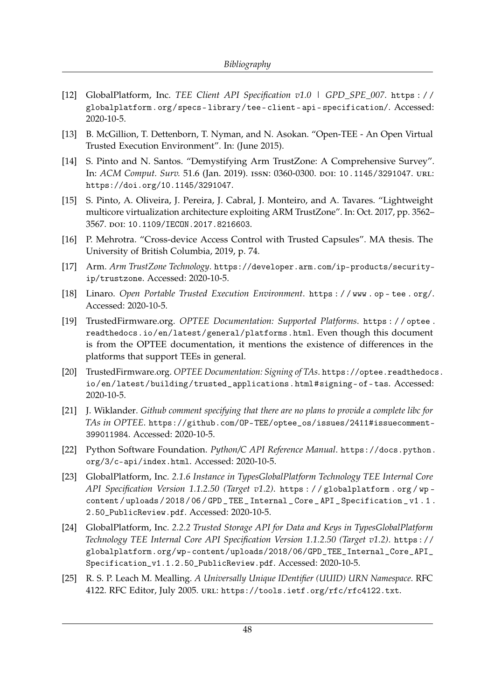- <span id="page-53-1"></span>[12] GlobalPlatform, Inc. *TEE Client API Specification v1.0 | GPD\_SPE\_007*. [https : / /](https://globalplatform.org/specs-library/tee-client-api-specification/) [globalplatform.org/specs- library/tee- client- api- specification/](https://globalplatform.org/specs-library/tee-client-api-specification/). Accessed: 2020-10-5.
- <span id="page-53-0"></span>[13] B. McGillion, T. Dettenborn, T. Nyman, and N. Asokan. "Open-TEE - An Open Virtual Trusted Execution Environment". In: (June 2015).
- <span id="page-53-2"></span>[14] S. Pinto and N. Santos. "Demystifying Arm TrustZone: A Comprehensive Survey". In: *ACM Comput. Surv.* 51.6 (Jan. 2019). issn: 0360-0300. doi: [10.1145/3291047](https://doi.org/10.1145/3291047). url: <https://doi.org/10.1145/3291047>.
- <span id="page-53-3"></span>[15] S. Pinto, A. Oliveira, J. Pereira, J. Cabral, J. Monteiro, and A. Tavares. "Lightweight multicore virtualization architecture exploiting ARM TrustZone". In: Oct. 2017, pp. 3562– 3567. doi: [10.1109/IECON.2017.8216603](https://doi.org/10.1109/IECON.2017.8216603).
- <span id="page-53-4"></span>[16] P. Mehrotra. "Cross-device Access Control with Trusted Capsules". MA thesis. The University of British Columbia, 2019, p. 74.
- <span id="page-53-5"></span>[17] Arm. *Arm TrustZone Technology*. [https://developer.arm.com/ip-products/security](https://developer.arm.com/ip-products/security-ip/trustzone)[ip/trustzone](https://developer.arm.com/ip-products/security-ip/trustzone). Accessed: 2020-10-5.
- <span id="page-53-6"></span>[18] Linaro. *Open Portable Trusted Execution Environment*. [https : / / www . op - tee . org/](https://www.op-tee.org/). Accessed: 2020-10-5.
- <span id="page-53-7"></span>[19] TrustedFirmware.org. *OPTEE Documentation: Supported Platforms*. [https : / / optee .](https://optee.readthedocs.io/en/latest/general/platforms.html) [readthedocs.io/en/latest/general/platforms.html](https://optee.readthedocs.io/en/latest/general/platforms.html). Even though this document is from the OPTEE documentation, it mentions the existence of differences in the platforms that support TEEs in general.
- <span id="page-53-8"></span>[20] TrustedFirmware.org. *OPTEE Documentation: Signing of TAs*. [https://optee.readthedoc](https://optee.readthedocs.io/en/latest/building/trusted_applications.html#signing-of-tas)s. [io/en/latest/building/trusted\\_applications.html#signing- of- tas](https://optee.readthedocs.io/en/latest/building/trusted_applications.html#signing-of-tas). Accessed: 2020-10-5.
- <span id="page-53-9"></span>[21] J. Wiklander. *Github comment specifying that there are no plans to provide a complete libc for TAs in OPTEE*. [https://github.com/OP-TEE/optee\\_os/issues/2411#issuecomment-](https://github.com/OP-TEE/optee_os/issues/2411#issuecomment-399011984)[399011984](https://github.com/OP-TEE/optee_os/issues/2411#issuecomment-399011984). Accessed: 2020-10-5.
- <span id="page-53-10"></span>[22] Python Software Foundation. *Python/C API Reference Manual*. [https://docs.python.](https://docs.python.org/3/c-api/index.html) [org/3/c-api/index.html](https://docs.python.org/3/c-api/index.html). Accessed: 2020-10-5.
- <span id="page-53-11"></span>[23] GlobalPlatform, Inc. *2.1.6 Instance in TypesGlobalPlatform Technology TEE Internal Core API Specification Version 1.1.2.50 (Target v1.2)*. [https : / / globalplatform . org / wp](https://globalplatform.org/wp-content/uploads/2018/06/GPD_TEE_Internal_Core_API_Specification_v1.1.2.50_PublicReview.pdf)  [content / uploads / 2018 / 06 / GPD \\_ TEE \\_ Internal \\_ Core \\_ API \\_ Specification \\_ v1 . 1 .](https://globalplatform.org/wp-content/uploads/2018/06/GPD_TEE_Internal_Core_API_Specification_v1.1.2.50_PublicReview.pdf) [2.50\\_PublicReview.pdf](https://globalplatform.org/wp-content/uploads/2018/06/GPD_TEE_Internal_Core_API_Specification_v1.1.2.50_PublicReview.pdf). Accessed: 2020-10-5.
- <span id="page-53-12"></span>[24] GlobalPlatform, Inc. *2.2.2 Trusted Storage API for Data and Keys in TypesGlobalPlatform Technology TEE Internal Core API Specification Version 1.1.2.50 (Target v1.2)*. [https://](https://globalplatform.org/wp-content/uploads/2018/06/GPD_TEE_Internal_Core_API_Specification_v1.1.2.50_PublicReview.pdf) [globalplatform.org/wp-content/uploads/2018/06/GPD\\_TEE\\_Internal\\_Core\\_API\\_](https://globalplatform.org/wp-content/uploads/2018/06/GPD_TEE_Internal_Core_API_Specification_v1.1.2.50_PublicReview.pdf) [Specification\\_v1.1.2.50\\_PublicReview.pdf](https://globalplatform.org/wp-content/uploads/2018/06/GPD_TEE_Internal_Core_API_Specification_v1.1.2.50_PublicReview.pdf). Accessed: 2020-10-5.
- <span id="page-53-13"></span>[25] R. S. P. Leach M. Mealling. *A Universally Unique IDentifier (UUID) URN Namespace*. RFC 4122. RFC Editor, July 2005. url: <https://tools.ietf.org/rfc/rfc4122.txt>.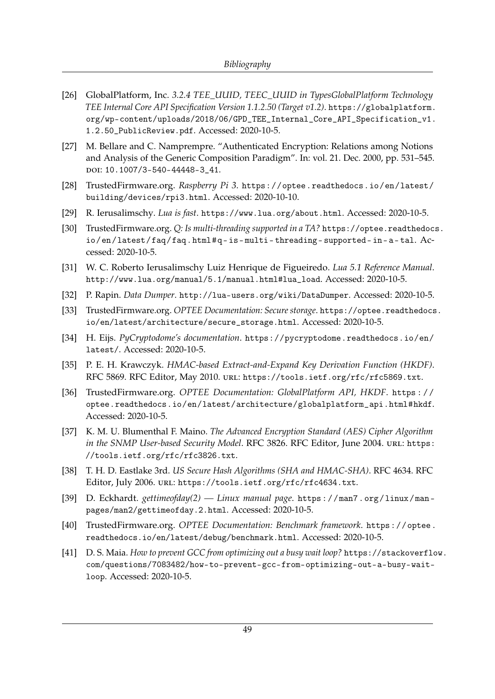- <span id="page-54-0"></span>[26] GlobalPlatform, Inc. *3.2.4 TEE\_UUID, TEEC\_UUID in TypesGlobalPlatform Technology TEE Internal Core API Specification Version 1.1.2.50 (Target v1.2)*. [https://globalplatform.](https://globalplatform.org/wp-content/uploads/2018/06/GPD_TEE_Internal_Core_API_Specification_v1.1.2.50_PublicReview.pdf) [org/wp-content/uploads/2018/06/GPD\\_TEE\\_Internal\\_Core\\_API\\_Specification\\_v1.](https://globalplatform.org/wp-content/uploads/2018/06/GPD_TEE_Internal_Core_API_Specification_v1.1.2.50_PublicReview.pdf) [1.2.50\\_PublicReview.pdf](https://globalplatform.org/wp-content/uploads/2018/06/GPD_TEE_Internal_Core_API_Specification_v1.1.2.50_PublicReview.pdf). Accessed: 2020-10-5.
- <span id="page-54-1"></span>[27] M. Bellare and C. Namprempre. "Authenticated Encryption: Relations among Notions and Analysis of the Generic Composition Paradigm". In: vol. 21. Dec. 2000, pp. 531–545. doi: [10.1007/3-540-44448-3\\_41](https://doi.org/10.1007/3-540-44448-3_41).
- <span id="page-54-2"></span>[28] TrustedFirmware.org. *Raspberry Pi 3*. [https://optee.readthedocs.io/en/latest/](https://optee.readthedocs.io/en/latest/building/devices/rpi3.html) [building/devices/rpi3.html](https://optee.readthedocs.io/en/latest/building/devices/rpi3.html). Accessed: 2020-10-10.
- <span id="page-54-3"></span>[29] R. Ierusalimschy. *Lua is fast*. <https://www.lua.org/about.html>. Accessed: 2020-10-5.
- <span id="page-54-4"></span>[30] TrustedFirmware.org. *Q: Is multi-threading supported in a TA?* [https://optee.readthedoc](https://optee.readthedocs.io/en/latest/faq/faq.html#q-is-multi-threading-supported-in-a-tal)s. io/en/latest/faq/faq.html#q-is-multi-threading-supported-in-a-tal. Accessed: 2020-10-5.
- <span id="page-54-5"></span>[31] W. C. Roberto Ierusalimschy Luiz Henrique de Figueiredo. *Lua 5.1 Reference Manual*. [http://www.lua.org/manual/5.1/manual.html#lua\\_load](http://www.lua.org/manual/5.1/manual.html#lua_load). Accessed: 2020-10-5.
- <span id="page-54-6"></span>[32] P. Rapin. *Data Dumper*. <http://lua-users.org/wiki/DataDumper>. Accessed: 2020-10-5.
- <span id="page-54-7"></span>[33] TrustedFirmware.org. *OPTEE Documentation: Secure storage*. [https://optee.readthedocs](https://optee.readthedocs.io/en/latest/architecture/secure_storage.html). [io/en/latest/architecture/secure\\_storage.html](https://optee.readthedocs.io/en/latest/architecture/secure_storage.html). Accessed: 2020-10-5.
- <span id="page-54-8"></span>[34] H. Eijs. *PyCryptodome's documentation*. [https://pycryptodome.readthedocs.io/en/](https://pycryptodome.readthedocs.io/en/latest/) [latest/](https://pycryptodome.readthedocs.io/en/latest/). Accessed: 2020-10-5.
- <span id="page-54-9"></span>[35] P. E. H. Krawczyk. *HMAC-based Extract-and-Expand Key Derivation Function (HKDF)*. RFC 5869. RFC Editor, May 2010. url: <https://tools.ietf.org/rfc/rfc5869.txt>.
- <span id="page-54-10"></span>[36] TrustedFirmware.org. *OPTEE Documentation: GlobalPlatform API, HKDF*. [https : / /](https://optee.readthedocs.io/en/latest/architecture/globalplatform_api.html#hkdf) [optee.readthedocs.io/en/latest/architecture/globalplatform\\_api.html#hkdf](https://optee.readthedocs.io/en/latest/architecture/globalplatform_api.html#hkdf). Accessed: 2020-10-5.
- <span id="page-54-11"></span>[37] K. M. U. Blumenthal F. Maino. *The Advanced Encryption Standard (AES) Cipher Algorithm in the SNMP User-based Security Model. RFC 3826. RFC Editor, June 2004. URL: [https:](https://tools.ietf.org/rfc/rfc3826.txt)* [//tools.ietf.org/rfc/rfc3826.txt](https://tools.ietf.org/rfc/rfc3826.txt).
- <span id="page-54-12"></span>[38] T. H. D. Eastlake 3rd. *US Secure Hash Algorithms (SHA and HMAC-SHA)*. RFC 4634. RFC Editor, July 2006. url: <https://tools.ietf.org/rfc/rfc4634.txt>.
- <span id="page-54-13"></span>[39] D. Eckhardt. *gettimeofday(2) — Linux manual page*. [https : / / man7 . org / linux / man](https://man7.org/linux/man-pages/man2/gettimeofday.2.html)  [pages/man2/gettimeofday.2.html](https://man7.org/linux/man-pages/man2/gettimeofday.2.html). Accessed: 2020-10-5.
- <span id="page-54-14"></span>[40] TrustedFirmware.org. *OPTEE Documentation: Benchmark framework*. [https://optee.](https://optee.readthedocs.io/en/latest/debug/benchmark.html) [readthedocs.io/en/latest/debug/benchmark.html](https://optee.readthedocs.io/en/latest/debug/benchmark.html). Accessed: 2020-10-5.
- <span id="page-54-15"></span>[41] D. S. Maia. *How to prevent GCC from optimizing out a busy wait loop?* [https://stackoverflo](https://stackoverflow.com/questions/7083482/how-to-prevent-gcc-from-optimizing-out-a-busy-wait-loop)w. [com/questions/7083482/how-to-prevent-gcc-from-optimizing-out-a-busy-wait](https://stackoverflow.com/questions/7083482/how-to-prevent-gcc-from-optimizing-out-a-busy-wait-loop)[loop](https://stackoverflow.com/questions/7083482/how-to-prevent-gcc-from-optimizing-out-a-busy-wait-loop). Accessed: 2020-10-5.